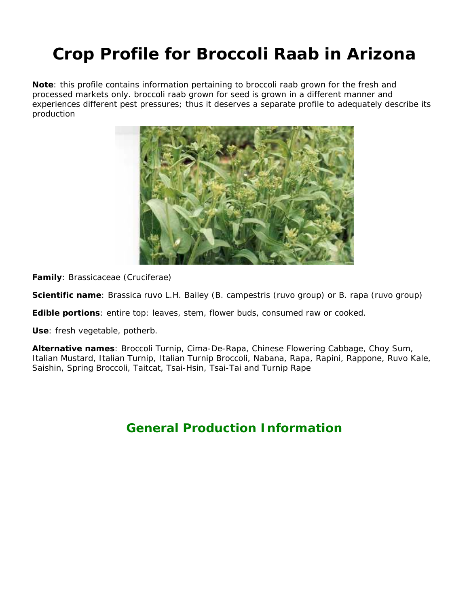# **Crop Profile for Broccoli Raab in Arizona**

**Note**: this profile contains information pertaining to broccoli raab grown for the fresh and processed markets only. broccoli raab grown for seed is grown in a different manner and experiences different pest pressures; thus it deserves a separate profile to adequately describe its production



**Family**: Brassicaceae (Cruciferae)

**Scientific name**: *Brassica ruvo* L.H. Bailey (*B. campestris* (ruvo group) or *B. rapa* (ruvo group)

**Edible portions**: entire top: leaves, stem, flower buds, consumed raw or cooked.

**Use**: fresh vegetable, potherb.

**Alternative names**: Broccoli Turnip, Cima-De-Rapa, Chinese Flowering Cabbage, Choy Sum, Italian Mustard, Italian Turnip, Italian Turnip Broccoli, Nabana, Rapa, Rapini, Rappone, Ruvo Kale, Saishin, Spring Broccoli, Taitcat, Tsai-Hsin, Tsai-Tai and Turnip Rape

# **General Production Information**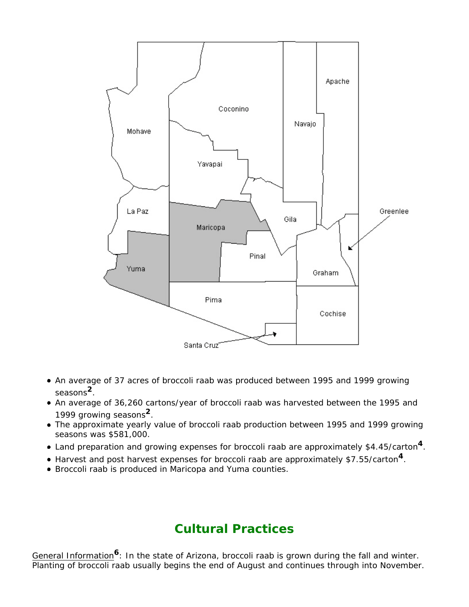

- An average of 37 acres of broccoli raab was produced between 1995 and 1999 growing seasons**2**.
- An average of 36,260 cartons/year of broccoli raab was harvested between the 1995 and 1999 growing seasons**2**.
- The approximate yearly value of broccoli raab production between 1995 and 1999 growing seasons was \$581,000.
- Land preparation and growing expenses for broccoli raab are approximately \$4.45/carton**4**.
- Harvest and post harvest expenses for broccoli raab are approximately \$7.55/carton**4**.
- Broccoli raab is produced in Maricopa and Yuma counties.

### **Cultural Practices**

General Information**6**: In the state of Arizona, broccoli raab is grown during the fall and winter. Planting of broccoli raab usually begins the end of August and continues through into November.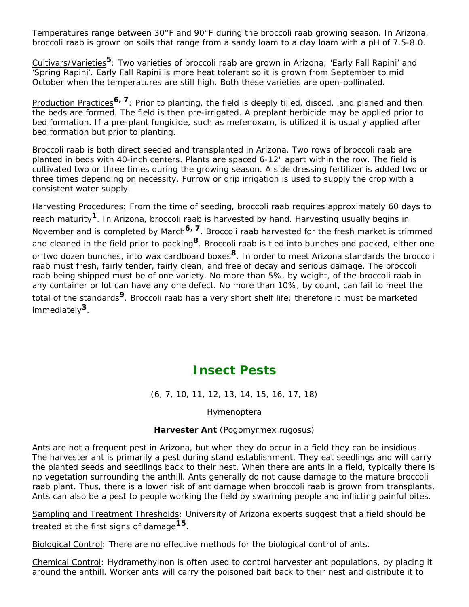Temperatures range between 30°F and 90°F during the broccoli raab growing season. In Arizona, broccoli raab is grown on soils that range from a sandy loam to a clay loam with a pH of 7.5-8.0.

Cultivars/Varieties**5**: Two varieties of broccoli raab are grown in Arizona; 'Early Fall Rapini' and 'Spring Rapini'. Early Fall Rapini is more heat tolerant so it is grown from September to mid October when the temperatures are still high. Both these varieties are open-pollinated.

Production Practices**6, 7**: Prior to planting, the field is deeply tilled, disced, land planed and then the beds are formed. The field is then pre-irrigated. A preplant herbicide may be applied prior to bed formation. If a pre-plant fungicide, such as mefenoxam, is utilized it is usually applied after bed formation but prior to planting.

Broccoli raab is both direct seeded and transplanted in Arizona. Two rows of broccoli raab are planted in beds with 40-inch centers. Plants are spaced 6-12" apart within the row. The field is cultivated two or three times during the growing season. A side dressing fertilizer is added two or three times depending on necessity. Furrow or drip irrigation is used to supply the crop with a consistent water supply.

Harvesting Procedures: From the time of seeding, broccoli raab requires approximately 60 days to reach maturity**1**. In Arizona, broccoli raab is harvested by hand. Harvesting usually begins in November and is completed by March**6, 7**. Broccoli raab harvested for the fresh market is trimmed and cleaned in the field prior to packing**8**. Broccoli raab is tied into bunches and packed, either one or two dozen bunches, into wax cardboard boxes**8**. In order to meet Arizona standards the broccoli raab must fresh, fairly tender, fairly clean, and free of decay and serious damage. The broccoli raab being shipped must be of one variety. No more than 5%, by weight, of the broccoli raab in any container or lot can have any one defect. No more than 10%, by count, can fail to meet the total of the standards**9**. Broccoli raab has a very short shelf life; therefore it must be marketed immediately**3**.

### **Insect Pests**

(6, 7, 10, 11, 12, 13, 14, 15, 16, 17, 18)

Hymenoptera

#### **Harvester Ant** (*Pogomyrmex rugosus*)

Ants are not a frequent pest in Arizona, but when they do occur in a field they can be insidious. The harvester ant is primarily a pest during stand establishment. They eat seedlings and will carry the planted seeds and seedlings back to their nest. When there are ants in a field, typically there is no vegetation surrounding the anthill. Ants generally do not cause damage to the mature broccoli raab plant. Thus, there is a lower risk of ant damage when broccoli raab is grown from transplants. Ants can also be a pest to people working the field by swarming people and inflicting painful bites.

Sampling and Treatment Thresholds: University of Arizona experts suggest that a field should be treated at the first signs of damage**15**.

Biological Control: There are no effective methods for the biological control of ants.

Chemical Control: Hydramethylnon is often used to control harvester ant populations, by placing it around the anthill. Worker ants will carry the poisoned bait back to their nest and distribute it to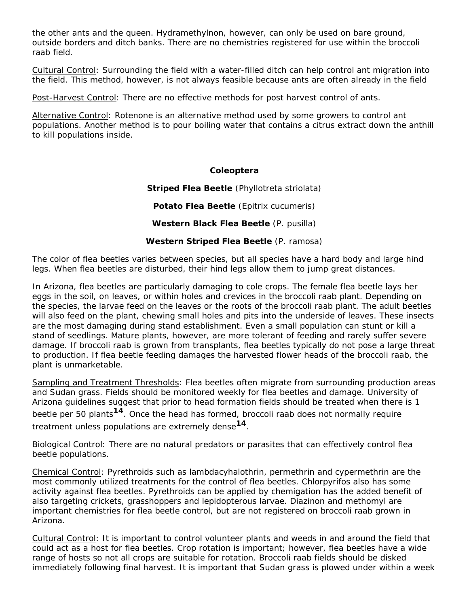the other ants and the queen. Hydramethylnon, however, can only be used on bare ground, outside borders and ditch banks. There are no chemistries registered for use within the broccoli raab field.

Cultural Control: Surrounding the field with a water-filled ditch can help control ant migration into the field. This method, however, is not always feasible because ants are often already in the field

Post-Harvest Control: There are no effective methods for post harvest control of ants.

Alternative Control: Rotenone is an alternative method used by some growers to control ant populations. Another method is to pour boiling water that contains a citrus extract down the anthill to kill populations inside.

#### **Coleoptera**

**Striped Flea Beetle** (*Phyllotreta striolata*)

**Potato Flea Beetle** (*Epitrix cucumeris*)

**Western Black Flea Beetle** (*P. pusilla*)

#### **Western Striped Flea Beetle** (*P. ramosa*)

The color of flea beetles varies between species, but all species have a hard body and large hind legs. When flea beetles are disturbed, their hind legs allow them to jump great distances.

In Arizona, flea beetles are particularly damaging to cole crops. The female flea beetle lays her eggs in the soil, on leaves, or within holes and crevices in the broccoli raab plant. Depending on the species, the larvae feed on the leaves or the roots of the broccoli raab plant. The adult beetles will also feed on the plant, chewing small holes and pits into the underside of leaves. These insects are the most damaging during stand establishment. Even a small population can stunt or kill a stand of seedlings. Mature plants, however, are more tolerant of feeding and rarely suffer severe damage. If broccoli raab is grown from transplants, flea beetles typically do not pose a large threat to production. If flea beetle feeding damages the harvested flower heads of the broccoli raab, the plant is unmarketable.

Sampling and Treatment Thresholds: Flea beetles often migrate from surrounding production areas and Sudan grass. Fields should be monitored weekly for flea beetles and damage. University of Arizona guidelines suggest that prior to head formation fields should be treated when there is 1 beetle per 50 plants**14**. Once the head has formed, broccoli raab does not normally require treatment unless populations are extremely dense**14**.

Biological Control: There are no natural predators or parasites that can effectively control flea beetle populations.

Chemical Control: Pyrethroids such as lambdacyhalothrin, permethrin and cypermethrin are the most commonly utilized treatments for the control of flea beetles. Chlorpyrifos also has some activity against flea beetles. Pyrethroids can be applied by chemigation has the added benefit of also targeting crickets, grasshoppers and lepidopterous larvae. Diazinon and methomyl are important chemistries for flea beetle control, but are not registered on broccoli raab grown in Arizona.

Cultural Control: It is important to control volunteer plants and weeds in and around the field that could act as a host for flea beetles. Crop rotation is important; however, flea beetles have a wide range of hosts so not all crops are suitable for rotation. Broccoli raab fields should be disked immediately following final harvest. It is important that Sudan grass is plowed under within a week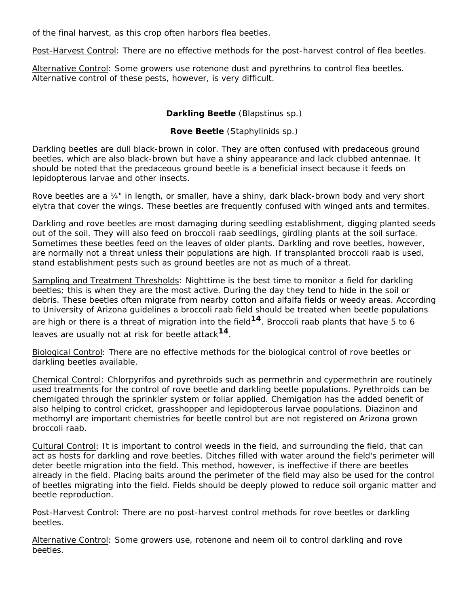of the final harvest, as this crop often harbors flea beetles.

Post-Harvest Control: There are no effective methods for the post-harvest control of flea beetles.

Alternative Control: Some growers use rotenone dust and pyrethrins to control flea beetles. Alternative control of these pests, however, is very difficult.

#### **Darkling Beetle** (*Blapstinus* sp.)

#### **Rove Beetle** (*Staphylinids* sp.)

Darkling beetles are dull black-brown in color. They are often confused with predaceous ground beetles, which are also black-brown but have a shiny appearance and lack clubbed antennae. It should be noted that the predaceous ground beetle is a beneficial insect because it feeds on lepidopterous larvae and other insects.

Rove beetles are a ¼" in length, or smaller, have a shiny, dark black-brown body and very short elytra that cover the wings. These beetles are frequently confused with winged ants and termites.

Darkling and rove beetles are most damaging during seedling establishment, digging planted seeds out of the soil. They will also feed on broccoli raab seedlings, girdling plants at the soil surface. Sometimes these beetles feed on the leaves of older plants. Darkling and rove beetles, however, are normally not a threat unless their populations are high. If transplanted broccoli raab is used, stand establishment pests such as ground beetles are not as much of a threat.

Sampling and Treatment Thresholds: Nighttime is the best time to monitor a field for darkling beetles; this is when they are the most active. During the day they tend to hide in the soil or debris. These beetles often migrate from nearby cotton and alfalfa fields or weedy areas. According to University of Arizona guidelines a broccoli raab field should be treated when beetle populations are high or there is a threat of migration into the field**14**. Broccoli raab plants that have 5 to 6 leaves are usually not at risk for beetle attack**14**.

Biological Control: There are no effective methods for the biological control of rove beetles or darkling beetles available.

Chemical Control: Chlorpyrifos and pyrethroids such as permethrin and cypermethrin are routinely used treatments for the control of rove beetle and darkling beetle populations. Pyrethroids can be chemigated through the sprinkler system or foliar applied. Chemigation has the added benefit of also helping to control cricket, grasshopper and lepidopterous larvae populations. Diazinon and methomyl are important chemistries for beetle control but are not registered on Arizona grown broccoli raab.

Cultural Control: It is important to control weeds in the field, and surrounding the field, that can act as hosts for darkling and rove beetles. Ditches filled with water around the field's perimeter will deter beetle migration into the field. This method, however, is ineffective if there are beetles already in the field. Placing baits around the perimeter of the field may also be used for the control of beetles migrating into the field. Fields should be deeply plowed to reduce soil organic matter and beetle reproduction.

Post-Harvest Control: There are no post-harvest control methods for rove beetles or darkling beetles.

Alternative Control: Some growers use, rotenone and neem oil to control darkling and rove beetles.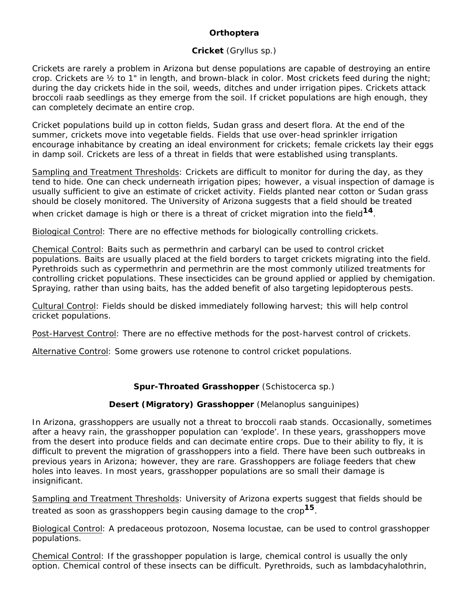#### *Orthoptera*

#### **Cricket** (*Gryllus* sp.)

Crickets are rarely a problem in Arizona but dense populations are capable of destroying an entire crop. Crickets are ½ to 1" in length, and brown-black in color. Most crickets feed during the night; during the day crickets hide in the soil, weeds, ditches and under irrigation pipes. Crickets attack broccoli raab seedlings as they emerge from the soil. If cricket populations are high enough, they can completely decimate an entire crop.

Cricket populations build up in cotton fields, Sudan grass and desert flora. At the end of the summer, crickets move into vegetable fields. Fields that use over-head sprinkler irrigation encourage inhabitance by creating an ideal environment for crickets; female crickets lay their eggs in damp soil. Crickets are less of a threat in fields that were established using transplants.

Sampling and Treatment Thresholds: Crickets are difficult to monitor for during the day, as they tend to hide. One can check underneath irrigation pipes; however, a visual inspection of damage is usually sufficient to give an estimate of cricket activity. Fields planted near cotton or Sudan grass should be closely monitored. The University of Arizona suggests that a field should be treated

when cricket damage is high or there is a threat of cricket migration into the field**14**.

Biological Control: There are no effective methods for biologically controlling crickets.

Chemical Control: Baits such as permethrin and carbaryl can be used to control cricket populations. Baits are usually placed at the field borders to target crickets migrating into the field. Pyrethroids such as cypermethrin and permethrin are the most commonly utilized treatments for controlling cricket populations. These insecticides can be ground applied or applied by chemigation. Spraying, rather than using baits, has the added benefit of also targeting lepidopterous pests.

Cultural Control: Fields should be disked immediately following harvest; this will help control cricket populations.

Post-Harvest Control: There are no effective methods for the post-harvest control of crickets.

Alternative Control: Some growers use rotenone to control cricket populations.

#### **Spur-Throated Grasshopper** (*Schistocerca* sp.)

#### **Desert (Migratory) Grasshopper** (*Melanoplus sanguinipes*)

In Arizona, grasshoppers are usually not a threat to broccoli raab stands. Occasionally, sometimes after a heavy rain, the grasshopper population can 'explode'. In these years, grasshoppers move from the desert into produce fields and can decimate entire crops. Due to their ability to fly, it is difficult to prevent the migration of grasshoppers into a field. There have been such outbreaks in previous years in Arizona; however, they are rare. Grasshoppers are foliage feeders that chew holes into leaves. In most years, grasshopper populations are so small their damage is insignificant.

Sampling and Treatment Thresholds: University of Arizona experts suggest that fields should be treated as soon as grasshoppers begin causing damage to the crop**15**.

Biological Control: A predaceous protozoon, *Nosema locustae*, can be used to control grasshopper populations.

Chemical Control: If the grasshopper population is large, chemical control is usually the only option. Chemical control of these insects can be difficult. Pyrethroids, such as lambdacyhalothrin,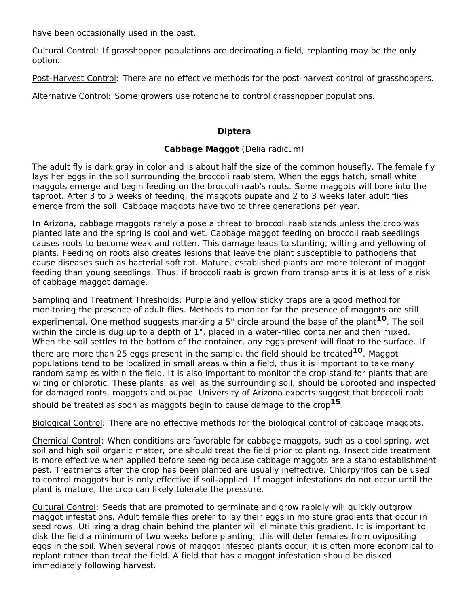have been occasionally used in the past.

Cultural Control: If grasshopper populations are decimating a field, replanting may be the only option.

Post-Harvest Control: There are no effective methods for the post-harvest control of grasshoppers.

Alternative Control: Some growers use rotenone to control grasshopper populations.

#### **Diptera**

#### **Cabbage Maggot** (*Delia radicum*)

The adult fly is dark gray in color and is about half the size of the common housefly. The female fly lays her eggs in the soil surrounding the broccoli raab stem. When the eggs hatch, small white maggots emerge and begin feeding on the broccoli raab's roots. Some maggots will bore into the taproot. After 3 to 5 weeks of feeding, the maggots pupate and 2 to 3 weeks later adult flies emerge from the soil. Cabbage maggots have two to three generations per year.

In Arizona, cabbage maggots rarely a pose a threat to broccoli raab stands unless the crop was planted late and the spring is cool and wet. Cabbage maggot feeding on broccoli raab seedlings causes roots to become weak and rotten. This damage leads to stunting, wilting and yellowing of plants. Feeding on roots also creates lesions that leave the plant susceptible to pathogens that cause diseases such as bacterial soft rot. Mature, established plants are more tolerant of maggot feeding than young seedlings. Thus, if broccoli raab is grown from transplants it is at less of a risk of cabbage maggot damage.

Sampling and Treatment Thresholds: Purple and yellow sticky traps are a good method for monitoring the presence of adult flies. Methods to monitor for the presence of maggots are still experimental. One method suggests marking a 5" circle around the base of the plant**10**. The soil within the circle is dug up to a depth of 1", placed in a water-filled container and then mixed. When the soil settles to the bottom of the container, any eggs present will float to the surface. If

there are more than 25 eggs present in the sample, the field should be treated**10**. Maggot populations tend to be localized in small areas within a field, thus it is important to take many random samples within the field. It is also important to monitor the crop stand for plants that are wilting or chlorotic. These plants, as well as the surrounding soil, should be uprooted and inspected for damaged roots, maggots and pupae. University of Arizona experts suggest that broccoli raab should be treated as soon as maggots begin to cause damage to the crop**15**.

Biological Control: There are no effective methods for the biological control of cabbage maggots.

Chemical Control: When conditions are favorable for cabbage maggots, such as a cool spring, wet soil and high soil organic matter, one should treat the field prior to planting. Insecticide treatment is more effective when applied before seeding because cabbage maggots are a stand establishment pest. Treatments after the crop has been planted are usually ineffective. Chlorpyrifos can be used to control maggots but is only effective if soil-applied. If maggot infestations do not occur until the plant is mature, the crop can likely tolerate the pressure.

Cultural Control: Seeds that are promoted to germinate and grow rapidly will quickly outgrow maggot infestations. Adult female flies prefer to lay their eggs in moisture gradients that occur in seed rows. Utilizing a drag chain behind the planter will eliminate this gradient. It is important to disk the field a minimum of two weeks before planting; this will deter females from ovipositing eggs in the soil. When several rows of maggot infested plants occur, it is often more economical to replant rather than treat the field. A field that has a maggot infestation should be disked immediately following harvest.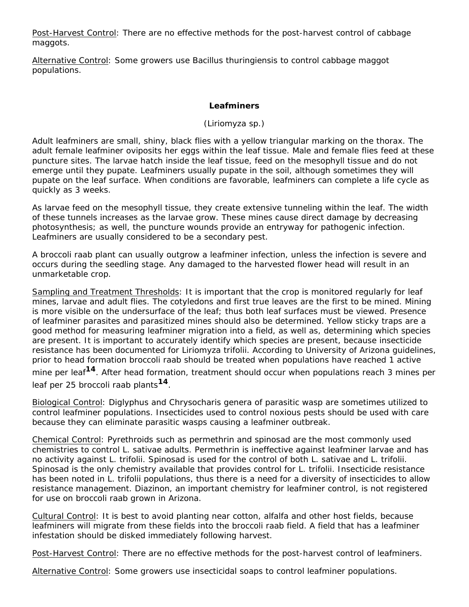Post-Harvest Control: There are no effective methods for the post-harvest control of cabbage maggots.

Alternative Control: Some growers use *Bacillus thuringiensis* to control cabbage maggot populations.

#### **Leafminers**

#### (*Liriomyza* sp.)

Adult leafminers are small, shiny, black flies with a yellow triangular marking on the thorax. The adult female leafminer oviposits her eggs within the leaf tissue. Male and female flies feed at these puncture sites. The larvae hatch inside the leaf tissue, feed on the mesophyll tissue and do not emerge until they pupate. Leafminers usually pupate in the soil, although sometimes they will pupate on the leaf surface. When conditions are favorable, leafminers can complete a life cycle as quickly as 3 weeks.

As larvae feed on the mesophyll tissue, they create extensive tunneling within the leaf. The width of these tunnels increases as the larvae grow. These mines cause direct damage by decreasing photosynthesis; as well, the puncture wounds provide an entryway for pathogenic infection. Leafminers are usually considered to be a secondary pest.

A broccoli raab plant can usually outgrow a leafminer infection, unless the infection is severe and occurs during the seedling stage. Any damaged to the harvested flower head will result in an unmarketable crop.

Sampling and Treatment Thresholds: It is important that the crop is monitored regularly for leaf mines, larvae and adult flies. The cotyledons and first true leaves are the first to be mined. Mining is more visible on the undersurface of the leaf; thus both leaf surfaces must be viewed. Presence of leafminer parasites and parasitized mines should also be determined. Yellow sticky traps are a good method for measuring leafminer migration into a field, as well as, determining which species are present. It is important to accurately identify which species are present, because insecticide resistance has been documented for *Liriomyza trifolii*. According to University of Arizona guidelines, prior to head formation broccoli raab should be treated when populations have reached 1 active mine per leaf**14**. After head formation, treatment should occur when populations reach 3 mines per leaf per 25 broccoli raab plants**14**.

Biological Control: *Diglyphus* and *Chrysocharis* genera of parasitic wasp are sometimes utilized to control leafminer populations. Insecticides used to control noxious pests should be used with care because they can eliminate parasitic wasps causing a leafminer outbreak.

Chemical Control: Pyrethroids such as permethrin and spinosad are the most commonly used chemistries to control *L. sativae* adults. Permethrin is ineffective against leafminer larvae and has no activity against *L. trifolii*. Spinosad is used for the control of both *L. sativae* and *L. trifolii*. Spinosad is the only chemistry available that provides control for *L. trifolii*. Insecticide resistance has been noted in *L. trifolii* populations, thus there is a need for a diversity of insecticides to allow resistance management. Diazinon, an important chemistry for leafminer control, is not registered for use on broccoli raab grown in Arizona.

Cultural Control: It is best to avoid planting near cotton, alfalfa and other host fields, because leafminers will migrate from these fields into the broccoli raab field. A field that has a leafminer infestation should be disked immediately following harvest.

Post-Harvest Control: There are no effective methods for the post-harvest control of leafminers.

Alternative Control: Some growers use insecticidal soaps to control leafminer populations.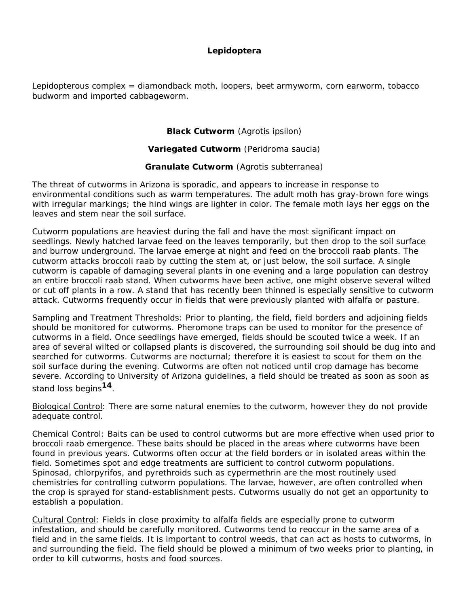#### **Lepidoptera**

Lepidopterous complex = diamondback moth, loopers, beet armyworm, corn earworm, tobacco budworm and imported cabbageworm.

#### **Black Cutworm** (*Agrotis ipsilon*)

#### **Variegated Cutworm** (*Peridroma saucia*)

#### **Granulate Cutworm** (*Agrotis subterranea*)

The threat of cutworms in Arizona is sporadic, and appears to increase in response to environmental conditions such as warm temperatures. The adult moth has gray-brown fore wings with irregular markings; the hind wings are lighter in color. The female moth lays her eggs on the leaves and stem near the soil surface.

Cutworm populations are heaviest during the fall and have the most significant impact on seedlings. Newly hatched larvae feed on the leaves temporarily, but then drop to the soil surface and burrow underground. The larvae emerge at night and feed on the broccoli raab plants. The cutworm attacks broccoli raab by cutting the stem at, or just below, the soil surface. A single cutworm is capable of damaging several plants in one evening and a large population can destroy an entire broccoli raab stand. When cutworms have been active, one might observe several wilted or cut off plants in a row. A stand that has recently been thinned is especially sensitive to cutworm attack. Cutworms frequently occur in fields that were previously planted with alfalfa or pasture.

Sampling and Treatment Thresholds: Prior to planting, the field, field borders and adjoining fields should be monitored for cutworms. Pheromone traps can be used to monitor for the presence of cutworms in a field. Once seedlings have emerged, fields should be scouted twice a week. If an area of several wilted or collapsed plants is discovered, the surrounding soil should be dug into and searched for cutworms. Cutworms are nocturnal; therefore it is easiest to scout for them on the soil surface during the evening. Cutworms are often not noticed until crop damage has become severe. According to University of Arizona guidelines, a field should be treated as soon as soon as stand loss begins**14**.

Biological Control: There are some natural enemies to the cutworm, however they do not provide adequate control.

Chemical Control: Baits can be used to control cutworms but are more effective when used prior to broccoli raab emergence. These baits should be placed in the areas where cutworms have been found in previous years. Cutworms often occur at the field borders or in isolated areas within the field. Sometimes spot and edge treatments are sufficient to control cutworm populations. Spinosad, chlorpyrifos, and pyrethroids such as cypermethrin are the most routinely used chemistries for controlling cutworm populations. The larvae, however, are often controlled when the crop is sprayed for stand-establishment pests. Cutworms usually do not get an opportunity to establish a population.

Cultural Control: Fields in close proximity to alfalfa fields are especially prone to cutworm infestation, and should be carefully monitored. Cutworms tend to reoccur in the same area of a field and in the same fields. It is important to control weeds, that can act as hosts to cutworms, in and surrounding the field. The field should be plowed a minimum of two weeks prior to planting, in order to kill cutworms, hosts and food sources.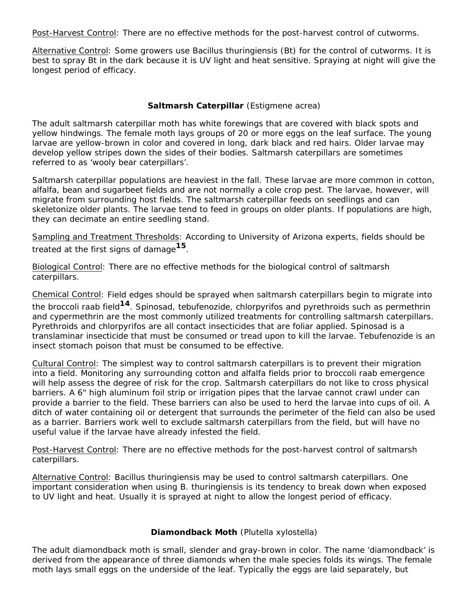Post-Harvest Control: There are no effective methods for the post-harvest control of cutworms.

Alternative Control: Some growers use *Bacillus thuringiensis* (Bt) for the control of cutworms. It is best to spray Bt in the dark because it is UV light and heat sensitive. Spraying at night will give the longest period of efficacy.

#### **Saltmarsh Caterpillar** (*Estigmene acrea*)

The adult saltmarsh caterpillar moth has white forewings that are covered with black spots and yellow hindwings. The female moth lays groups of 20 or more eggs on the leaf surface. The young larvae are yellow-brown in color and covered in long, dark black and red hairs. Older larvae may develop yellow stripes down the sides of their bodies. Saltmarsh caterpillars are sometimes referred to as 'wooly bear caterpillars'.

Saltmarsh caterpillar populations are heaviest in the fall. These larvae are more common in cotton, alfalfa, bean and sugarbeet fields and are not normally a cole crop pest. The larvae, however, will migrate from surrounding host fields. The saltmarsh caterpillar feeds on seedlings and can skeletonize older plants. The larvae tend to feed in groups on older plants. If populations are high, they can decimate an entire seedling stand.

Sampling and Treatment Thresholds: According to University of Arizona experts, fields should be treated at the first signs of damage**15**.

Biological Control: There are no effective methods for the biological control of saltmarsh caterpillars.

Chemical Control: Field edges should be sprayed when saltmarsh caterpillars begin to migrate into the broccoli raab field**14**. Spinosad, tebufenozide, chlorpyrifos and pyrethroids such as permethrin and cypermethrin are the most commonly utilized treatments for controlling saltmarsh caterpillars. Pyrethroids and chlorpyrifos are all contact insecticides that are foliar applied. Spinosad is a translaminar insecticide that must be consumed or tread upon to kill the larvae. Tebufenozide is an insect stomach poison that must be consumed to be effective.

Cultural Control: The simplest way to control saltmarsh caterpillars is to prevent their migration into a field. Monitoring any surrounding cotton and alfalfa fields prior to broccoli raab emergence will help assess the degree of risk for the crop. Saltmarsh caterpillars do not like to cross physical barriers. A 6" high aluminum foil strip or irrigation pipes that the larvae cannot crawl under can provide a barrier to the field. These barriers can also be used to herd the larvae into cups of oil. A ditch of water containing oil or detergent that surrounds the perimeter of the field can also be used as a barrier. Barriers work well to exclude saltmarsh caterpillars from the field, but will have no useful value if the larvae have already infested the field.

Post-Harvest Control: There are no effective methods for the post-harvest control of saltmarsh caterpillars.

Alternative Control: *Bacillus thuringiensis* may be used to control saltmarsh caterpillars. One important consideration when using *B*. *thuringiensis* is its tendency to break down when exposed to UV light and heat. Usually it is sprayed at night to allow the longest period of efficacy.

#### **Diamondback Moth** (*Plutella xylostella*)

The adult diamondback moth is small, slender and gray-brown in color. The name 'diamondback' is derived from the appearance of three diamonds when the male species folds its wings. The female moth lays small eggs on the underside of the leaf. Typically the eggs are laid separately, but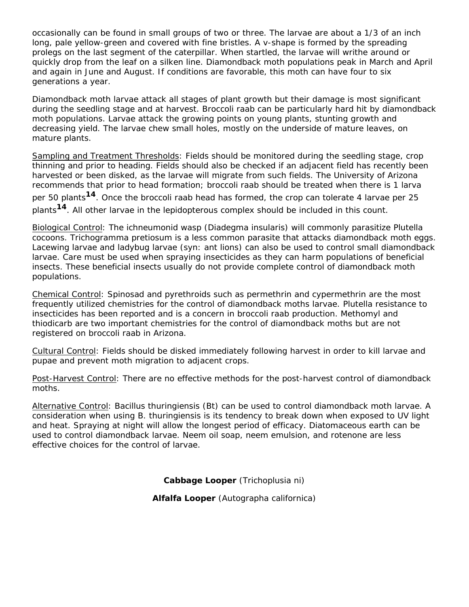occasionally can be found in small groups of two or three. The larvae are about a 1/3 of an inch long, pale yellow-green and covered with fine bristles. A v-shape is formed by the spreading prolegs on the last segment of the caterpillar. When startled, the larvae will writhe around or quickly drop from the leaf on a silken line. Diamondback moth populations peak in March and April and again in June and August. If conditions are favorable, this moth can have four to six generations a year.

Diamondback moth larvae attack all stages of plant growth but their damage is most significant during the seedling stage and at harvest. Broccoli raab can be particularly hard hit by diamondback moth populations. Larvae attack the growing points on young plants, stunting growth and decreasing yield. The larvae chew small holes, mostly on the underside of mature leaves, on mature plants.

Sampling and Treatment Thresholds: Fields should be monitored during the seedling stage, crop thinning and prior to heading. Fields should also be checked if an adjacent field has recently been harvested or been disked, as the larvae will migrate from such fields. The University of Arizona recommends that prior to head formation; broccoli raab should be treated when there is 1 larva per 50 plants**14**. Once the broccoli raab head has formed, the crop can tolerate 4 larvae per 25 plants**14**. All other larvae in the lepidopterous complex should be included in this count.

Biological Control: The ichneumonid wasp (*Diadegma insularis*) will commonly parasitize *Plutella* cocoons. *Trichogramma pretiosum* is a less common parasite that attacks diamondback moth eggs. Lacewing larvae and ladybug larvae (syn: ant lions) can also be used to control small diamondback larvae. Care must be used when spraying insecticides as they can harm populations of beneficial insects. These beneficial insects usually do not provide complete control of diamondback moth populations.

Chemical Control: Spinosad and pyrethroids such as permethrin and cypermethrin are the most frequently utilized chemistries for the control of diamondback moths larvae. *Plutella* resistance to insecticides has been reported and is a concern in broccoli raab production. Methomyl and thiodicarb are two important chemistries for the control of diamondback moths but are not registered on broccoli raab in Arizona.

Cultural Control: Fields should be disked immediately following harvest in order to kill larvae and pupae and prevent moth migration to adjacent crops.

Post-Harvest Control: There are no effective methods for the post-harvest control of diamondback moths.

Alternative Control: *Bacillus thuringiensis* (Bt) can be used to control diamondback moth larvae. A consideration when using *B*. *thuringiensis* is its tendency to break down when exposed to UV light and heat. Spraying at night will allow the longest period of efficacy. Diatomaceous earth can be used to control diamondback larvae. Neem oil soap, neem emulsion, and rotenone are less effective choices for the control of larvae.

**Cabbage Looper** (*Trichoplusia ni*)

**Alfalfa Looper** (*Autographa californica*)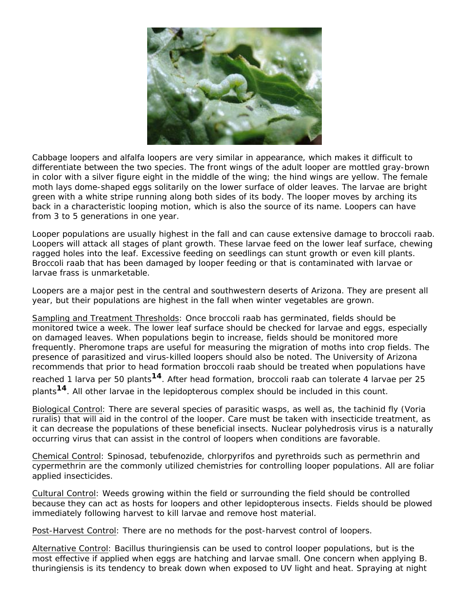

Cabbage loopers and alfalfa loopers are very similar in appearance, which makes it difficult to differentiate between the two species. The front wings of the adult looper are mottled gray-brown in color with a silver figure eight in the middle of the wing; the hind wings are yellow. The female moth lays dome-shaped eggs solitarily on the lower surface of older leaves. The larvae are bright green with a white stripe running along both sides of its body. The looper moves by arching its back in a characteristic looping motion, which is also the source of its name. Loopers can have from 3 to 5 generations in one year.

Looper populations are usually highest in the fall and can cause extensive damage to broccoli raab. Loopers will attack all stages of plant growth. These larvae feed on the lower leaf surface, chewing ragged holes into the leaf. Excessive feeding on seedlings can stunt growth or even kill plants. Broccoli raab that has been damaged by looper feeding or that is contaminated with larvae or larvae frass is unmarketable.

Loopers are a major pest in the central and southwestern deserts of Arizona. They are present all year, but their populations are highest in the fall when winter vegetables are grown.

Sampling and Treatment Thresholds: Once broccoli raab has germinated, fields should be monitored twice a week. The lower leaf surface should be checked for larvae and eggs, especially on damaged leaves. When populations begin to increase, fields should be monitored more frequently. Pheromone traps are useful for measuring the migration of moths into crop fields. The presence of parasitized and virus-killed loopers should also be noted. The University of Arizona recommends that prior to head formation broccoli raab should be treated when populations have reached 1 larva per 50 plants**14**. After head formation, broccoli raab can tolerate 4 larvae per 25 plants**14**. All other larvae in the lepidopterous complex should be included in this count.

Biological Control: There are several species of parasitic wasps, as well as, the tachinid fly (*Voria ruralis*) that will aid in the control of the looper. Care must be taken with insecticide treatment, as it can decrease the populations of these beneficial insects. Nuclear polyhedrosis virus is a naturally occurring virus that can assist in the control of loopers when conditions are favorable.

Chemical Control: Spinosad, tebufenozide, chlorpyrifos and pyrethroids such as permethrin and cypermethrin are the commonly utilized chemistries for controlling looper populations. All are foliar applied insecticides.

Cultural Control: Weeds growing within the field or surrounding the field should be controlled because they can act as hosts for loopers and other lepidopterous insects. Fields should be plowed immediately following harvest to kill larvae and remove host material.

Post-Harvest Control: There are no methods for the post-harvest control of loopers.

Alternative Control: *Bacillus thuringiensis* can be used to control looper populations, but is the most effective if applied when eggs are hatching and larvae small. One concern when applying *B. thuringiensis* is its tendency to break down when exposed to UV light and heat. Spraying at night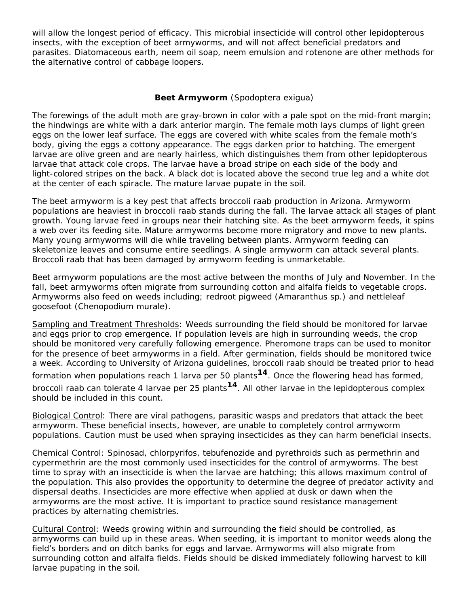will allow the longest period of efficacy. This microbial insecticide will control other lepidopterous insects, with the exception of beet armyworms, and will not affect beneficial predators and parasites. Diatomaceous earth, neem oil soap, neem emulsion and rotenone are other methods for the alternative control of cabbage loopers.

#### **Beet Armyworm** (*Spodoptera exigua*)

The forewings of the adult moth are gray-brown in color with a pale spot on the mid-front margin; the hindwings are white with a dark anterior margin. The female moth lays clumps of light green eggs on the lower leaf surface. The eggs are covered with white scales from the female moth's body, giving the eggs a cottony appearance. The eggs darken prior to hatching. The emergent larvae are olive green and are nearly hairless, which distinguishes them from other lepidopterous larvae that attack cole crops. The larvae have a broad stripe on each side of the body and light-colored stripes on the back. A black dot is located above the second true leg and a white dot at the center of each spiracle. The mature larvae pupate in the soil.

The beet armyworm is a key pest that affects broccoli raab production in Arizona. Armyworm populations are heaviest in broccoli raab stands during the fall. The larvae attack all stages of plant growth. Young larvae feed in groups near their hatching site. As the beet armyworm feeds, it spins a web over its feeding site. Mature armyworms become more migratory and move to new plants. Many young armyworms will die while traveling between plants. Armyworm feeding can skeletonize leaves and consume entire seedlings. A single armyworm can attack several plants. Broccoli raab that has been damaged by armyworm feeding is unmarketable.

Beet armyworm populations are the most active between the months of July and November. In the fall, beet armyworms often migrate from surrounding cotton and alfalfa fields to vegetable crops. Armyworms also feed on weeds including; redroot pigweed (*Amaranthus* sp.) and nettleleaf goosefoot (*Chenopodium murale*).

Sampling and Treatment Thresholds: Weeds surrounding the field should be monitored for larvae and eggs prior to crop emergence. If population levels are high in surrounding weeds, the crop should be monitored very carefully following emergence. Pheromone traps can be used to monitor for the presence of beet armyworms in a field. After germination, fields should be monitored twice a week. According to University of Arizona guidelines, broccoli raab should be treated prior to head formation when populations reach 1 larva per 50 plants**14**. Once the flowering head has formed, broccoli raab can tolerate 4 larvae per 25 plants**14**. All other larvae in the lepidopterous complex should be included in this count.

Biological Control: There are viral pathogens, parasitic wasps and predators that attack the beet armyworm. These beneficial insects, however, are unable to completely control armyworm populations. Caution must be used when spraying insecticides as they can harm beneficial insects.

Chemical Control: Spinosad, chlorpyrifos, tebufenozide and pyrethroids such as permethrin and cypermethrin are the most commonly used insecticides for the control of armyworms. The best time to spray with an insecticide is when the larvae are hatching; this allows maximum control of the population. This also provides the opportunity to determine the degree of predator activity and dispersal deaths. Insecticides are more effective when applied at dusk or dawn when the armyworms are the most active. It is important to practice sound resistance management practices by alternating chemistries.

Cultural Control: Weeds growing within and surrounding the field should be controlled, as armyworms can build up in these areas. When seeding, it is important to monitor weeds along the field's borders and on ditch banks for eggs and larvae. Armyworms will also migrate from surrounding cotton and alfalfa fields. Fields should be disked immediately following harvest to kill larvae pupating in the soil.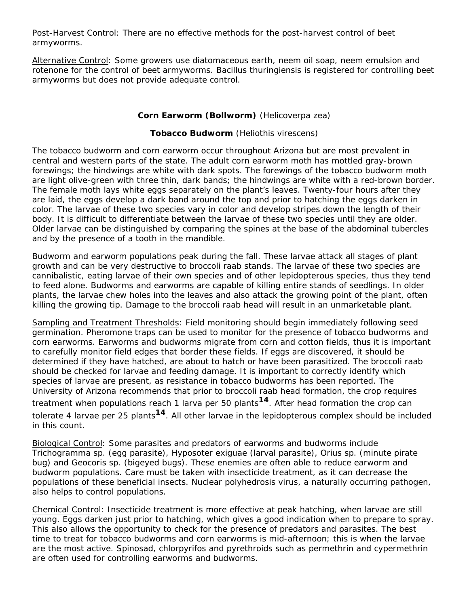Post-Harvest Control: There are no effective methods for the post-harvest control of beet armyworms.

Alternative Control: Some growers use diatomaceous earth, neem oil soap, neem emulsion and rotenone for the control of beet armyworms. *Bacillus thuringiensis* is registered for controlling beet armyworms but does not provide adequate control.

#### **Corn Earworm (Bollworm)** (*Helicoverpa zea*)

#### **Tobacco Budworm** (*Heliothis virescens*)

The tobacco budworm and corn earworm occur throughout Arizona but are most prevalent in central and western parts of the state. The adult corn earworm moth has mottled gray-brown forewings; the hindwings are white with dark spots. The forewings of the tobacco budworm moth are light olive-green with three thin, dark bands; the hindwings are white with a red-brown border. The female moth lays white eggs separately on the plant's leaves. Twenty-four hours after they are laid, the eggs develop a dark band around the top and prior to hatching the eggs darken in color. The larvae of these two species vary in color and develop stripes down the length of their body. It is difficult to differentiate between the larvae of these two species until they are older. Older larvae can be distinguished by comparing the spines at the base of the abdominal tubercles and by the presence of a tooth in the mandible.

Budworm and earworm populations peak during the fall. These larvae attack all stages of plant growth and can be very destructive to broccoli raab stands. The larvae of these two species are cannibalistic, eating larvae of their own species and of other lepidopterous species, thus they tend to feed alone. Budworms and earworms are capable of killing entire stands of seedlings. In older plants, the larvae chew holes into the leaves and also attack the growing point of the plant, often killing the growing tip. Damage to the broccoli raab head will result in an unmarketable plant.

Sampling and Treatment Thresholds: Field monitoring should begin immediately following seed germination. Pheromone traps can be used to monitor for the presence of tobacco budworms and corn earworms. Earworms and budworms migrate from corn and cotton fields, thus it is important to carefully monitor field edges that border these fields. If eggs are discovered, it should be determined if they have hatched, are about to hatch or have been parasitized. The broccoli raab should be checked for larvae and feeding damage. It is important to correctly identify which species of larvae are present, as resistance in tobacco budworms has been reported. The University of Arizona recommends that prior to broccoli raab head formation, the crop requires treatment when populations reach 1 larva per 50 plants**14**. After head formation the crop can tolerate 4 larvae per 25 plants**14**. All other larvae in the lepidopterous complex should be included in this count.

Biological Control: Some parasites and predators of earworms and budworms include *Trichogramma* sp. (egg parasite), *Hyposoter exiguae* (larval parasite), *Orius* sp. (minute pirate bug) and *Geocoris* sp. (bigeyed bugs). These enemies are often able to reduce earworm and budworm populations. Care must be taken with insecticide treatment, as it can decrease the populations of these beneficial insects. Nuclear polyhedrosis virus, a naturally occurring pathogen, also helps to control populations.

Chemical Control: Insecticide treatment is more effective at peak hatching, when larvae are still young. Eggs darken just prior to hatching, which gives a good indication when to prepare to spray. This also allows the opportunity to check for the presence of predators and parasites. The best time to treat for tobacco budworms and corn earworms is mid-afternoon; this is when the larvae are the most active. Spinosad, chlorpyrifos and pyrethroids such as permethrin and cypermethrin are often used for controlling earworms and budworms.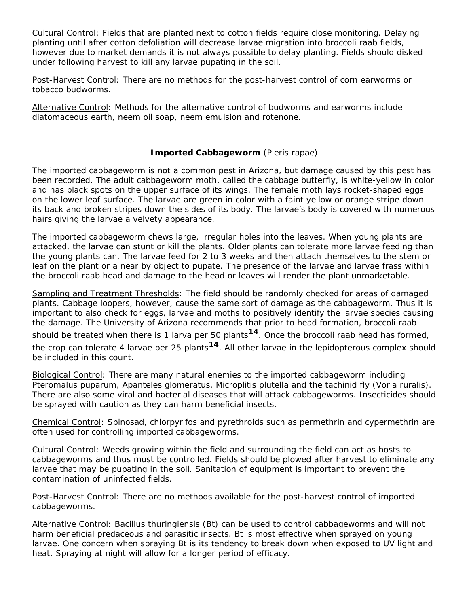Cultural Control: Fields that are planted next to cotton fields require close monitoring. Delaying planting until after cotton defoliation will decrease larvae migration into broccoli raab fields, however due to market demands it is not always possible to delay planting. Fields should disked under following harvest to kill any larvae pupating in the soil.

Post-Harvest Control: There are no methods for the post-harvest control of corn earworms or tobacco budworms.

Alternative Control: Methods for the alternative control of budworms and earworms include diatomaceous earth, neem oil soap, neem emulsion and rotenone.

#### **Imported Cabbageworm** (*Pieris rapae*)

The imported cabbageworm is not a common pest in Arizona, but damage caused by this pest has been recorded. The adult cabbageworm moth, called the cabbage butterfly, is white-yellow in color and has black spots on the upper surface of its wings. The female moth lays rocket-shaped eggs on the lower leaf surface. The larvae are green in color with a faint yellow or orange stripe down its back and broken stripes down the sides of its body. The larvae's body is covered with numerous hairs giving the larvae a velvety appearance.

The imported cabbageworm chews large, irregular holes into the leaves. When young plants are attacked, the larvae can stunt or kill the plants. Older plants can tolerate more larvae feeding than the young plants can. The larvae feed for 2 to 3 weeks and then attach themselves to the stem or leaf on the plant or a near by object to pupate. The presence of the larvae and larvae frass within the broccoli raab head and damage to the head or leaves will render the plant unmarketable.

Sampling and Treatment Thresholds: The field should be randomly checked for areas of damaged plants. Cabbage loopers, however, cause the same sort of damage as the cabbageworm. Thus it is important to also check for eggs, larvae and moths to positively identify the larvae species causing the damage. The University of Arizona recommends that prior to head formation, broccoli raab should be treated when there is 1 larva per 50 plants**14**. Once the broccoli raab head has formed, the crop can tolerate 4 larvae per 25 plants**14**. All other larvae in the lepidopterous complex should be included in this count.

Biological Control: There are many natural enemies to the imported cabbageworm including *Pteromalus puparum*, *Apanteles glomeratus*, *Microplitis plutell*a and the tachinid fly (*Voria ruralis*). There are also some viral and bacterial diseases that will attack cabbageworms. Insecticides should be sprayed with caution as they can harm beneficial insects.

Chemical Control: Spinosad, chlorpyrifos and pyrethroids such as permethrin and cypermethrin are often used for controlling imported cabbageworms.

Cultural Control: Weeds growing within the field and surrounding the field can act as hosts to cabbageworms and thus must be controlled. Fields should be plowed after harvest to eliminate any larvae that may be pupating in the soil. Sanitation of equipment is important to prevent the contamination of uninfected fields.

Post-Harvest Control: There are no methods available for the post-harvest control of imported cabbageworms.

Alternative Control: *Bacillus thuringiensis* (Bt) can be used to control cabbageworms and will not harm beneficial predaceous and parasitic insects. Bt is most effective when sprayed on young larvae. One concern when spraying Bt is its tendency to break down when exposed to UV light and heat. Spraying at night will allow for a longer period of efficacy.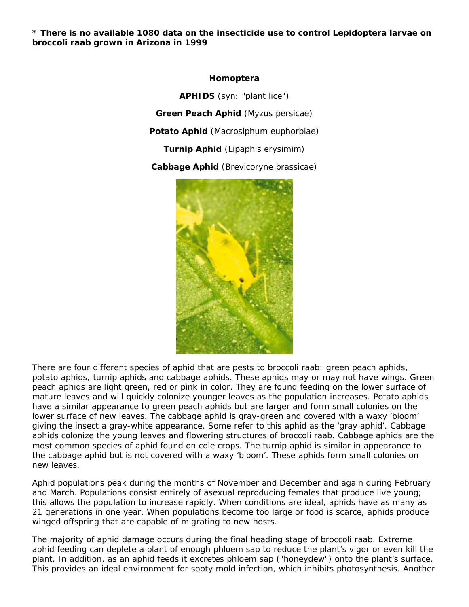**\* There is no available 1080 data on the insecticide use to control Lepidoptera larvae on broccoli raab grown in Arizona in 1999**

#### **Homoptera**

**APHIDS** (syn: "plant lice") **Green Peach Aphid** (*Myzus persicae*) **Potato Aphid** (*Macrosiphum euphorbiae*) **Turnip Aphid** (*Lipaphis erysimim*) **Cabbage Aphid** (*Brevicoryne brassicae*)



There are four different species of aphid that are pests to broccoli raab: green peach aphids, potato aphids, turnip aphids and cabbage aphids. These aphids may or may not have wings. Green peach aphids are light green, red or pink in color. They are found feeding on the lower surface of mature leaves and will quickly colonize younger leaves as the population increases. Potato aphids have a similar appearance to green peach aphids but are larger and form small colonies on the lower surface of new leaves. The cabbage aphid is gray-green and covered with a waxy 'bloom' giving the insect a gray-white appearance. Some refer to this aphid as the 'gray aphid'. Cabbage aphids colonize the young leaves and flowering structures of broccoli raab. Cabbage aphids are the most common species of aphid found on cole crops. The turnip aphid is similar in appearance to the cabbage aphid but is not covered with a waxy 'bloom'. These aphids form small colonies on new leaves.

Aphid populations peak during the months of November and December and again during February and March. Populations consist entirely of asexual reproducing females that produce live young; this allows the population to increase rapidly. When conditions are ideal, aphids have as many as 21 generations in one year. When populations become too large or food is scarce, aphids produce winged offspring that are capable of migrating to new hosts.

The majority of aphid damage occurs during the final heading stage of broccoli raab. Extreme aphid feeding can deplete a plant of enough phloem sap to reduce the plant's vigor or even kill the plant. In addition, as an aphid feeds it excretes phloem sap ("honeydew") onto the plant's surface. This provides an ideal environment for sooty mold infection, which inhibits photosynthesis. Another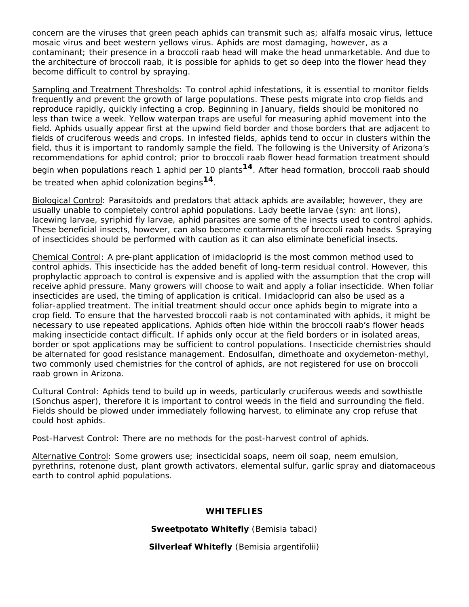concern are the viruses that green peach aphids can transmit such as; alfalfa mosaic virus, lettuce mosaic virus and beet western yellows virus. Aphids are most damaging, however, as a contaminant; their presence in a broccoli raab head will make the head unmarketable. And due to the architecture of broccoli raab, it is possible for aphids to get so deep into the flower head they become difficult to control by spraying.

Sampling and Treatment Thresholds: To control aphid infestations, it is essential to monitor fields frequently and prevent the growth of large populations. These pests migrate into crop fields and reproduce rapidly, quickly infecting a crop. Beginning in January, fields should be monitored no less than twice a week. Yellow waterpan traps are useful for measuring aphid movement into the field. Aphids usually appear first at the upwind field border and those borders that are adjacent to fields of cruciferous weeds and crops. In infested fields, aphids tend to occur in clusters within the field, thus it is important to randomly sample the field. The following is the University of Arizona's recommendations for aphid control; prior to broccoli raab flower head formation treatment should begin when populations reach 1 aphid per 10 plants**14**. After head formation, broccoli raab should be treated when aphid colonization begins**14**.

Biological Control: Parasitoids and predators that attack aphids are available; however, they are usually unable to completely control aphid populations. Lady beetle larvae (syn: ant lions), lacewing larvae, syriphid fly larvae, aphid parasites are some of the insects used to control aphids. These beneficial insects, however, can also become contaminants of broccoli raab heads. Spraying of insecticides should be performed with caution as it can also eliminate beneficial insects.

Chemical Control: A pre-plant application of imidacloprid is the most common method used to control aphids. This insecticide has the added benefit of long-term residual control. However, this prophylactic approach to control is expensive and is applied with the assumption that the crop will receive aphid pressure. Many growers will choose to wait and apply a foliar insecticide. When foliar insecticides are used, the timing of application is critical. Imidacloprid can also be used as a foliar-applied treatment. The initial treatment should occur once aphids begin to migrate into a crop field. To ensure that the harvested broccoli raab is not contaminated with aphids, it might be necessary to use repeated applications. Aphids often hide within the broccoli raab's flower heads making insecticide contact difficult. If aphids only occur at the field borders or in isolated areas, border or spot applications may be sufficient to control populations. Insecticide chemistries should be alternated for good resistance management. Endosulfan, dimethoate and oxydemeton-methyl, two commonly used chemistries for the control of aphids, are not registered for use on broccoli raab grown in Arizona.

Cultural Control: Aphids tend to build up in weeds, particularly cruciferous weeds and sowthistle (*Sonchus asper*), therefore it is important to control weeds in the field and surrounding the field. Fields should be plowed under immediately following harvest, to eliminate any crop refuse that could host aphids.

Post-Harvest Control: There are no methods for the post-harvest control of aphids.

Alternative Control: Some growers use; insecticidal soaps, neem oil soap, neem emulsion, pyrethrins, rotenone dust, plant growth activators, elemental sulfur, garlic spray and diatomaceous earth to control aphid populations.

#### **WHITEFLIES**

**Sweetpotato Whitefly** (*Bemisia tabaci*)

**Silverleaf Whitefly** (*Bemisia argentifolii*)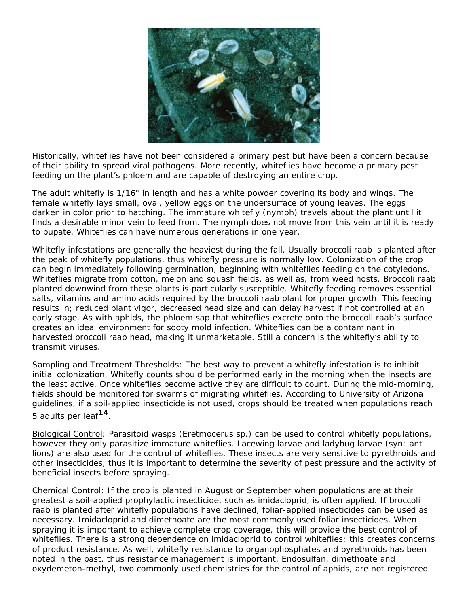

Historically, whiteflies have not been considered a primary pest but have been a concern because of their ability to spread viral pathogens. More recently, whiteflies have become a primary pest feeding on the plant's phloem and are capable of destroying an entire crop.

The adult whitefly is 1/16" in length and has a white powder covering its body and wings. The female whitefly lays small, oval, yellow eggs on the undersurface of young leaves. The eggs darken in color prior to hatching. The immature whitefly (nymph) travels about the plant until it finds a desirable minor vein to feed from. The nymph does not move from this vein until it is ready to pupate. Whiteflies can have numerous generations in one year.

Whitefly infestations are generally the heaviest during the fall. Usually broccoli raab is planted after the peak of whitefly populations, thus whitefly pressure is normally low. Colonization of the crop can begin immediately following germination, beginning with whiteflies feeding on the cotyledons. Whiteflies migrate from cotton, melon and squash fields, as well as, from weed hosts. Broccoli raab planted downwind from these plants is particularly susceptible. Whitefly feeding removes essential salts, vitamins and amino acids required by the broccoli raab plant for proper growth. This feeding results in; reduced plant vigor, decreased head size and can delay harvest if not controlled at an early stage. As with aphids, the phloem sap that whiteflies excrete onto the broccoli raab's surface creates an ideal environment for sooty mold infection. Whiteflies can be a contaminant in harvested broccoli raab head, making it unmarketable. Still a concern is the whitefly's ability to transmit viruses.

Sampling and Treatment Thresholds: The best way to prevent a whitefly infestation is to inhibit initial colonization. Whitefly counts should be performed early in the morning when the insects are the least active. Once whiteflies become active they are difficult to count. During the mid-morning, fields should be monitored for swarms of migrating whiteflies. According to University of Arizona guidelines, if a soil-applied insecticide is not used, crops should be treated when populations reach 5 adults per leaf**14**.

Biological Control: Parasitoid wasps (*Eretmocerus* sp.) can be used to control whitefly populations, however they only parasitize immature whiteflies. Lacewing larvae and ladybug larvae (syn: ant lions) are also used for the control of whiteflies. These insects are very sensitive to pyrethroids and other insecticides, thus it is important to determine the severity of pest pressure and the activity of beneficial insects before spraying.

Chemical Control: If the crop is planted in August or September when populations are at their greatest a soil-applied prophylactic insecticide, such as imidacloprid, is often applied. If broccoli raab is planted after whitefly populations have declined, foliar-applied insecticides can be used as necessary. Imidacloprid and dimethoate are the most commonly used foliar insecticides. When spraying it is important to achieve complete crop coverage, this will provide the best control of whiteflies. There is a strong dependence on imidacloprid to control whiteflies; this creates concerns of product resistance. As well, whitefly resistance to organophosphates and pyrethroids has been noted in the past, thus resistance management is important. Endosulfan, dimethoate and oxydemeton-methyl, two commonly used chemistries for the control of aphids, are not registered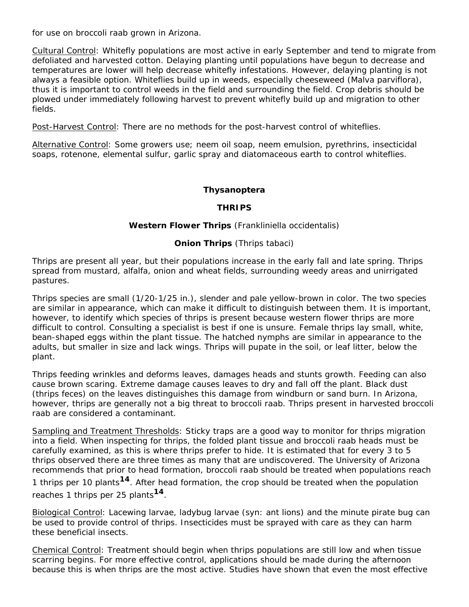for use on broccoli raab grown in Arizona.

Cultural Control: Whitefly populations are most active in early September and tend to migrate from defoliated and harvested cotton. Delaying planting until populations have begun to decrease and temperatures are lower will help decrease whitefly infestations. However, delaying planting is not always a feasible option. Whiteflies build up in weeds, especially cheeseweed (*Malva parviflora*), thus it is important to control weeds in the field and surrounding the field. Crop debris should be plowed under immediately following harvest to prevent whitefly build up and migration to other fields.

Post-Harvest Control: There are no methods for the post-harvest control of whiteflies.

Alternative Control: Some growers use; neem oil soap, neem emulsion, pyrethrins, insecticidal soaps, rotenone, elemental sulfur, garlic spray and diatomaceous earth to control whiteflies.

#### **Thysanoptera**

#### **THRIPS**

#### **Western Flower Thrips** (*Frankliniella occidentalis)*

#### **Onion Thrips** (*Thrips tabaci*)

Thrips are present all year, but their populations increase in the early fall and late spring. Thrips spread from mustard, alfalfa, onion and wheat fields, surrounding weedy areas and unirrigated pastures.

Thrips species are small (1/20-1/25 in.), slender and pale yellow-brown in color. The two species are similar in appearance, which can make it difficult to distinguish between them. It is important, however, to identify which species of thrips is present because western flower thrips are more difficult to control. Consulting a specialist is best if one is unsure. Female thrips lay small, white, bean-shaped eggs within the plant tissue. The hatched nymphs are similar in appearance to the adults, but smaller in size and lack wings. Thrips will pupate in the soil, or leaf litter, below the plant.

Thrips feeding wrinkles and deforms leaves, damages heads and stunts growth. Feeding can also cause brown scaring. Extreme damage causes leaves to dry and fall off the plant. Black dust (thrips feces) on the leaves distinguishes this damage from windburn or sand burn. In Arizona, however, thrips are generally not a big threat to broccoli raab. Thrips present in harvested broccoli raab are considered a contaminant.

Sampling and Treatment Thresholds: Sticky traps are a good way to monitor for thrips migration into a field. When inspecting for thrips, the folded plant tissue and broccoli raab heads must be carefully examined, as this is where thrips prefer to hide. It is estimated that for every 3 to 5 thrips observed there are three times as many that are undiscovered. The University of Arizona recommends that prior to head formation, broccoli raab should be treated when populations reach 1 thrips per 10 plants**14**. After head formation, the crop should be treated when the population reaches 1 thrips per 25 plants**14**.

Biological Control: Lacewing larvae, ladybug larvae (syn: ant lions) and the minute pirate bug can be used to provide control of thrips. Insecticides must be sprayed with care as they can harm these beneficial insects.

Chemical Control: Treatment should begin when thrips populations are still low and when tissue scarring begins. For more effective control, applications should be made during the afternoon because this is when thrips are the most active. Studies have shown that even the most effective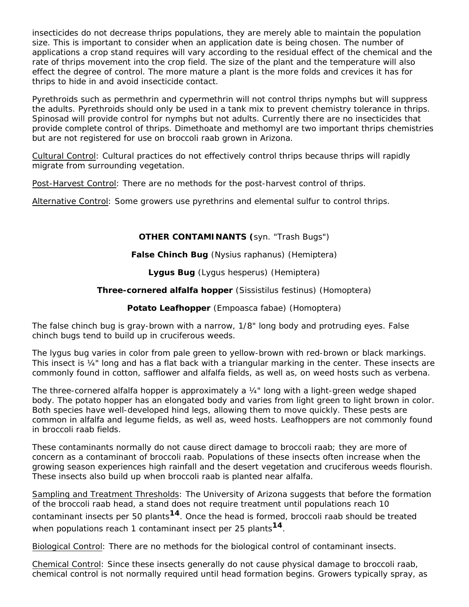insecticides do not decrease thrips populations, they are merely able to maintain the population size. This is important to consider when an application date is being chosen. The number of applications a crop stand requires will vary according to the residual effect of the chemical and the rate of thrips movement into the crop field. The size of the plant and the temperature will also effect the degree of control. The more mature a plant is the more folds and crevices it has for thrips to hide in and avoid insecticide contact.

Pyrethroids such as permethrin and cypermethrin will not control thrips nymphs but will suppress the adults. Pyrethroids should only be used in a tank mix to prevent chemistry tolerance in thrips. Spinosad will provide control for nymphs but not adults. Currently there are no insecticides that provide complete control of thrips. Dimethoate and methomyl are two important thrips chemistries but are not registered for use on broccoli raab grown in Arizona.

Cultural Control: Cultural practices do not effectively control thrips because thrips will rapidly migrate from surrounding vegetation.

Post-Harvest Control: There are no methods for the post-harvest control of thrips.

Alternative Control: Some growers use pyrethrins and elemental sulfur to control thrips.

#### **OTHER CONTAMINANTS (**syn. "Trash Bugs")

#### **False Chinch Bug** (*Nysius raphanus*) (Hemiptera)

**Lygus Bug** (*Lygus hesperus*) (Hemiptera)

#### **Three-cornered alfalfa hopper** (*Sissistilus festinus*) (Homoptera)

#### **Potato Leafhopper** (*Empoasca fabae*) (Homoptera)

The false chinch bug is gray-brown with a narrow, 1/8" long body and protruding eyes. False chinch bugs tend to build up in cruciferous weeds.

The lygus bug varies in color from pale green to yellow-brown with red-brown or black markings. This insect is ¼" long and has a flat back with a triangular marking in the center. These insects are commonly found in cotton, safflower and alfalfa fields, as well as, on weed hosts such as verbena.

The three-cornered alfalfa hopper is approximately a ¼" long with a light-green wedge shaped body. The potato hopper has an elongated body and varies from light green to light brown in color. Both species have well-developed hind legs, allowing them to move quickly. These pests are common in alfalfa and legume fields, as well as, weed hosts. Leafhoppers are not commonly found in broccoli raab fields.

These contaminants normally do not cause direct damage to broccoli raab; they are more of concern as a contaminant of broccoli raab. Populations of these insects often increase when the growing season experiences high rainfall and the desert vegetation and cruciferous weeds flourish. These insects also build up when broccoli raab is planted near alfalfa.

Sampling and Treatment Thresholds: The University of Arizona suggests that before the formation of the broccoli raab head, a stand does not require treatment until populations reach 10 contaminant insects per 50 plants**14**. Once the head is formed, broccoli raab should be treated when populations reach 1 contaminant insect per 25 plants**14**.

Biological Control: There are no methods for the biological control of contaminant insects.

Chemical Control: Since these insects generally do not cause physical damage to broccoli raab, chemical control is not normally required until head formation begins. Growers typically spray, as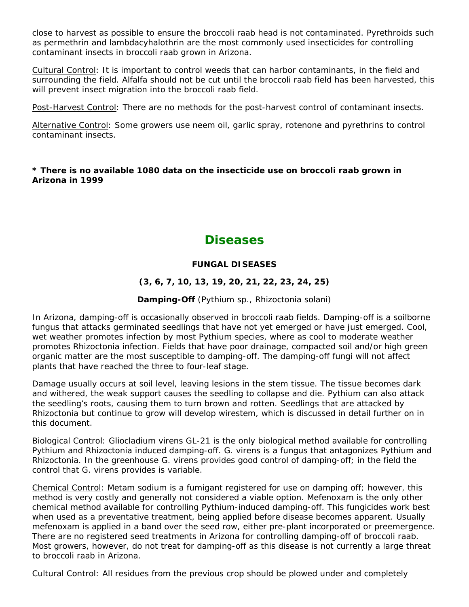close to harvest as possible to ensure the broccoli raab head is not contaminated. Pyrethroids such as permethrin and lambdacyhalothrin are the most commonly used insecticides for controlling contaminant insects in broccoli raab grown in Arizona.

Cultural Control: It is important to control weeds that can harbor contaminants, in the field and surrounding the field. Alfalfa should not be cut until the broccoli raab field has been harvested, this will prevent insect migration into the broccoli raab field.

Post-Harvest Control: There are no methods for the post-harvest control of contaminant insects.

Alternative Control: Some growers use neem oil, garlic spray, rotenone and pyrethrins to control contaminant insects.

#### **\* There is no available 1080 data on the insecticide use on broccoli raab grown in Arizona in 1999**

# **Diseases**

#### **FUNGAL DISEASES**

### **(3, 6, 7, 10, 13, 19, 20, 21, 22, 23, 24, 25)**

#### **Damping-Off** (*Pythium* sp., *Rhizoctonia solani*)

In Arizona, damping-off is occasionally observed in broccoli raab fields. Damping-off is a soilborne fungus that attacks germinated seedlings that have not yet emerged or have just emerged. Cool, wet weather promotes infection by most *Pythium* species, where as cool to moderate weather promotes *Rhizoctonia* infection. Fields that have poor drainage, compacted soil and/or high green organic matter are the most susceptible to damping-off. The damping-off fungi will not affect plants that have reached the three to four-leaf stage.

Damage usually occurs at soil level, leaving lesions in the stem tissue. The tissue becomes dark and withered, the weak support causes the seedling to collapse and die. *Pythium* can also attack the seedling's roots, causing them to turn brown and rotten. Seedlings that are attacked by *Rhizoctonia* but continue to grow will develop wirestem, which is discussed in detail further on in this document.

Biological Control: *Gliocladium virens* GL-21 is the only biological method available for controlling *Pythium* and *Rhizoctonia* induced damping-off. *G. virens* is a fungus that antagonizes *Pythium* and *Rhizoctonia*. In the greenhouse *G. virens* provides good control of damping-off; in the field the control that *G. virens* provides is variable.

Chemical Control: Metam sodium is a fumigant registered for use on damping off; however, this method is very costly and generally not considered a viable option. Mefenoxam is the only other chemical method available for controlling *Pythium*-induced damping-off. This fungicides work best when used as a preventative treatment, being applied before disease becomes apparent. Usually mefenoxam is applied in a band over the seed row, either pre-plant incorporated or preemergence. There are no registered seed treatments in Arizona for controlling damping-off of broccoli raab. Most growers, however, do not treat for damping-off as this disease is not currently a large threat to broccoli raab in Arizona.

Cultural Control: All residues from the previous crop should be plowed under and completely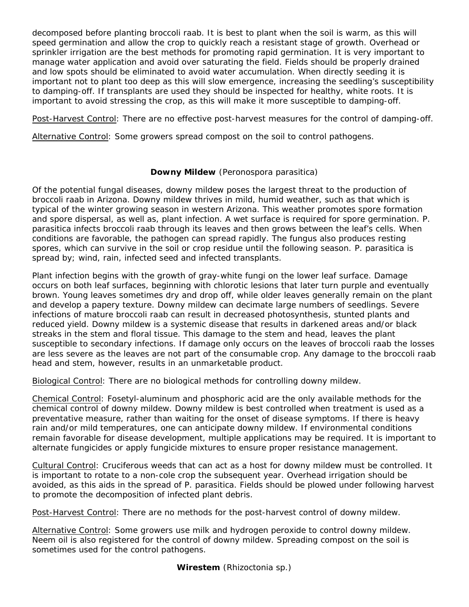decomposed before planting broccoli raab. It is best to plant when the soil is warm, as this will speed germination and allow the crop to quickly reach a resistant stage of growth. Overhead or sprinkler irrigation are the best methods for promoting rapid germination. It is very important to manage water application and avoid over saturating the field. Fields should be properly drained and low spots should be eliminated to avoid water accumulation. When directly seeding it is important not to plant too deep as this will slow emergence, increasing the seedling's susceptibility to damping-off. If transplants are used they should be inspected for healthy, white roots. It is important to avoid stressing the crop, as this will make it more susceptible to damping-off.

Post-Harvest Control: There are no effective post-harvest measures for the control of damping-off.

Alternative Control: Some growers spread compost on the soil to control pathogens.

#### **Downy Mildew** (*Peronospora parasitica*)

Of the potential fungal diseases, downy mildew poses the largest threat to the production of broccoli raab in Arizona. Downy mildew thrives in mild, humid weather, such as that which is typical of the winter growing season in western Arizona. This weather promotes spore formation and spore dispersal, as well as, plant infection. A wet surface is required for spore germination. *P. parasitica* infects broccoli raab through its leaves and then grows between the leaf's cells. When conditions are favorable, the pathogen can spread rapidly. The fungus also produces resting spores, which can survive in the soil or crop residue until the following season. *P. parasitica* is spread by; wind, rain, infected seed and infected transplants.

Plant infection begins with the growth of gray-white fungi on the lower leaf surface. Damage occurs on both leaf surfaces, beginning with chlorotic lesions that later turn purple and eventually brown. Young leaves sometimes dry and drop off, while older leaves generally remain on the plant and develop a papery texture. Downy mildew can decimate large numbers of seedlings. Severe infections of mature broccoli raab can result in decreased photosynthesis, stunted plants and reduced yield. Downy mildew is a systemic disease that results in darkened areas and/or black streaks in the stem and floral tissue. This damage to the stem and head, leaves the plant susceptible to secondary infections. If damage only occurs on the leaves of broccoli raab the losses are less severe as the leaves are not part of the consumable crop. Any damage to the broccoli raab head and stem, however, results in an unmarketable product.

Biological Control: There are no biological methods for controlling downy mildew.

Chemical Control: Fosetyl-aluminum and phosphoric acid are the only available methods for the chemical control of downy mildew. Downy mildew is best controlled when treatment is used as a preventative measure, rather than waiting for the onset of disease symptoms. If there is heavy rain and/or mild temperatures, one can anticipate downy mildew. If environmental conditions remain favorable for disease development, multiple applications may be required. It is important to alternate fungicides or apply fungicide mixtures to ensure proper resistance management.

Cultural Control: Cruciferous weeds that can act as a host for downy mildew must be controlled. It is important to rotate to a non-cole crop the subsequent year. Overhead irrigation should be avoided, as this aids in the spread of *P. parasitica*. Fields should be plowed under following harvest to promote the decomposition of infected plant debris.

Post-Harvest Control: There are no methods for the post-harvest control of downy mildew.

Alternative Control: Some growers use milk and hydrogen peroxide to control downy mildew. Neem oil is also registered for the control of downy mildew. Spreading compost on the soil is sometimes used for the control pathogens.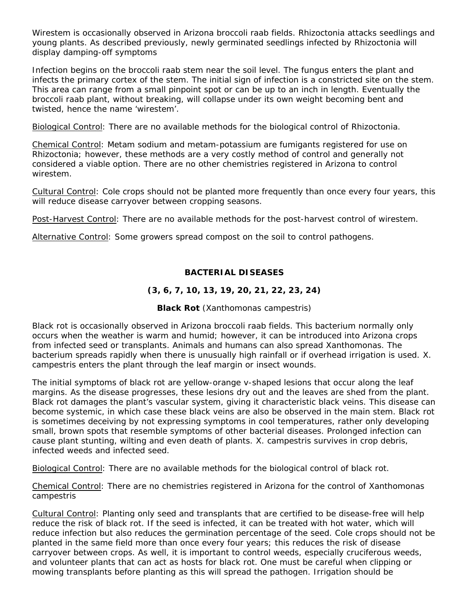Wirestem is occasionally observed in Arizona broccoli raab fields. Rhizoctonia attacks seedlings and young plants. As described previously, newly germinated seedlings infected by *Rhizoctonia* will display damping-off symptoms

Infection begins on the broccoli raab stem near the soil level. The fungus enters the plant and infects the primary cortex of the stem. The initial sign of infection is a constricted site on the stem. This area can range from a small pinpoint spot or can be up to an inch in length. Eventually the broccoli raab plant, without breaking, will collapse under its own weight becoming bent and twisted, hence the name 'wirestem'.

Biological Control: There are no available methods for the biological control of *Rhizoctonia*.

Chemical Control: Metam sodium and metam-potassium are fumigants registered for use on *Rhizoctonia*; however, these methods are a very costly method of control and generally not considered a viable option. There are no other chemistries registered in Arizona to control wirestem.

Cultural Control: Cole crops should not be planted more frequently than once every four years, this will reduce disease carryover between cropping seasons.

Post-Harvest Control: There are no available methods for the post-harvest control of wirestem.

Alternative Control: Some growers spread compost on the soil to control pathogens.

#### **BACTERIAL DISEASES**

#### **(3, 6, 7, 10, 13, 19, 20, 21, 22, 23, 24)**

#### **Black Rot** (*Xanthomonas campestris*)

Black rot is occasionally observed in Arizona broccoli raab fields. This bacterium normally only occurs when the weather is warm and humid; however, it can be introduced into Arizona crops from infected seed or transplants. Animals and humans can also spread *Xanthomonas*. The bacterium spreads rapidly when there is unusually high rainfall or if overhead irrigation is used. *X. campestris* enters the plant through the leaf margin or insect wounds.

The initial symptoms of black rot are yellow-orange v-shaped lesions that occur along the leaf margins. As the disease progresses, these lesions dry out and the leaves are shed from the plant. Black rot damages the plant's vascular system, giving it characteristic black veins. This disease can become systemic, in which case these black veins are also be observed in the main stem. Black rot is sometimes deceiving by not expressing symptoms in cool temperatures, rather only developing small, brown spots that resemble symptoms of other bacterial diseases. Prolonged infection can cause plant stunting, wilting and even death of plants. *X. campestris* survives in crop debris, infected weeds and infected seed.

Biological Control: There are no available methods for the biological control of black rot.

Chemical Control: There are no chemistries registered in Arizona for the control of *Xanthomonas campestris*

Cultural Control: Planting only seed and transplants that are certified to be disease-free will help reduce the risk of black rot. If the seed is infected, it can be treated with hot water, which will reduce infection but also reduces the germination percentage of the seed. Cole crops should not be planted in the same field more than once every four years; this reduces the risk of disease carryover between crops. As well, it is important to control weeds, especially cruciferous weeds, and volunteer plants that can act as hosts for black rot. One must be careful when clipping or mowing transplants before planting as this will spread the pathogen. Irrigation should be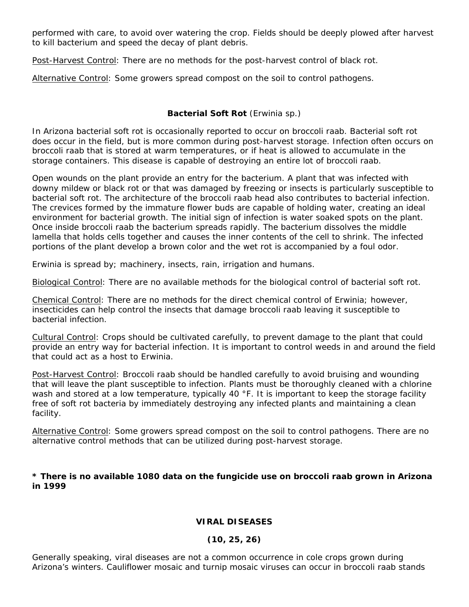performed with care, to avoid over watering the crop. Fields should be deeply plowed after harvest to kill bacterium and speed the decay of plant debris.

Post-Harvest Control: There are no methods for the post-harvest control of black rot.

Alternative Control: Some growers spread compost on the soil to control pathogens.

#### **Bacterial Soft Rot** (*Erwinia* sp.)

In Arizona bacterial soft rot is occasionally reported to occur on broccoli raab. Bacterial soft rot does occur in the field, but is more common during post-harvest storage. Infection often occurs on broccoli raab that is stored at warm temperatures, or if heat is allowed to accumulate in the storage containers. This disease is capable of destroying an entire lot of broccoli raab.

Open wounds on the plant provide an entry for the bacterium. A plant that was infected with downy mildew or black rot or that was damaged by freezing or insects is particularly susceptible to bacterial soft rot. The architecture of the broccoli raab head also contributes to bacterial infection. The crevices formed by the immature flower buds are capable of holding water, creating an ideal environment for bacterial growth. The initial sign of infection is water soaked spots on the plant. Once inside broccoli raab the bacterium spreads rapidly. The bacterium dissolves the middle lamella that holds cells together and causes the inner contents of the cell to shrink. The infected portions of the plant develop a brown color and the wet rot is accompanied by a foul odor.

*Erwinia* is spread by; machinery, insects, rain, irrigation and humans.

Biological Control: There are no available methods for the biological control of bacterial soft rot.

Chemical Control: There are no methods for the direct chemical control of *Erwinia*; however, insecticides can help control the insects that damage broccoli raab leaving it susceptible to bacterial infection.

Cultural Control: Crops should be cultivated carefully, to prevent damage to the plant that could provide an entry way for bacterial infection. It is important to control weeds in and around the field that could act as a host to *Erwinia*.

Post-Harvest Control: Broccoli raab should be handled carefully to avoid bruising and wounding that will leave the plant susceptible to infection. Plants must be thoroughly cleaned with a chlorine wash and stored at a low temperature, typically 40 °F. It is important to keep the storage facility free of soft rot bacteria by immediately destroying any infected plants and maintaining a clean facility.

Alternative Control: Some growers spread compost on the soil to control pathogens. There are no alternative control methods that can be utilized during post-harvest storage.

#### **\* There is no available 1080 data on the fungicide use on broccoli raab grown in Arizona in 1999**

#### **VIRAL DISEASES**

#### **(10, 25, 26)**

Generally speaking, viral diseases are not a common occurrence in cole crops grown during Arizona's winters. Cauliflower mosaic and turnip mosaic viruses can occur in broccoli raab stands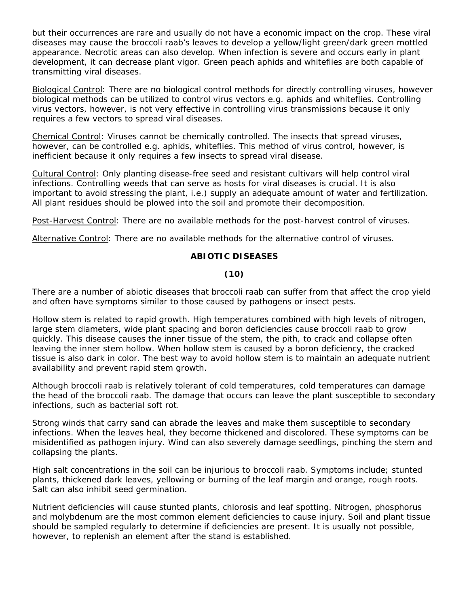but their occurrences are rare and usually do not have a economic impact on the crop. These viral diseases may cause the broccoli raab's leaves to develop a yellow/light green/dark green mottled appearance. Necrotic areas can also develop. When infection is severe and occurs early in plant development, it can decrease plant vigor. Green peach aphids and whiteflies are both capable of transmitting viral diseases.

Biological Control: There are no biological control methods for directly controlling viruses, however biological methods can be utilized to control virus vectors e.g. aphids and whiteflies. Controlling virus vectors, however, is not very effective in controlling virus transmissions because it only requires a few vectors to spread viral diseases.

Chemical Control: Viruses cannot be chemically controlled. The insects that spread viruses, however, can be controlled e.g. aphids, whiteflies. This method of virus control, however, is inefficient because it only requires a few insects to spread viral disease.

Cultural Control: Only planting disease-free seed and resistant cultivars will help control viral infections. Controlling weeds that can serve as hosts for viral diseases is crucial. It is also important to avoid stressing the plant, i.e.) supply an adequate amount of water and fertilization. All plant residues should be plowed into the soil and promote their decomposition.

Post-Harvest Control: There are no available methods for the post-harvest control of viruses.

Alternative Control: There are no available methods for the alternative control of viruses.

#### **ABIOTIC DISEASES**

#### **(10)**

There are a number of abiotic diseases that broccoli raab can suffer from that affect the crop yield and often have symptoms similar to those caused by pathogens or insect pests.

Hollow stem is related to rapid growth. High temperatures combined with high levels of nitrogen, large stem diameters, wide plant spacing and boron deficiencies cause broccoli raab to grow quickly. This disease causes the inner tissue of the stem, the pith, to crack and collapse often leaving the inner stem hollow. When hollow stem is caused by a boron deficiency, the cracked tissue is also dark in color. The best way to avoid hollow stem is to maintain an adequate nutrient availability and prevent rapid stem growth.

Although broccoli raab is relatively tolerant of cold temperatures, cold temperatures can damage the head of the broccoli raab. The damage that occurs can leave the plant susceptible to secondary infections, such as bacterial soft rot.

Strong winds that carry sand can abrade the leaves and make them susceptible to secondary infections. When the leaves heal, they become thickened and discolored. These symptoms can be misidentified as pathogen injury. Wind can also severely damage seedlings, pinching the stem and collapsing the plants.

High salt concentrations in the soil can be injurious to broccoli raab. Symptoms include; stunted plants, thickened dark leaves, yellowing or burning of the leaf margin and orange, rough roots. Salt can also inhibit seed germination.

Nutrient deficiencies will cause stunted plants, chlorosis and leaf spotting. Nitrogen, phosphorus and molybdenum are the most common element deficiencies to cause injury. Soil and plant tissue should be sampled regularly to determine if deficiencies are present. It is usually not possible, however, to replenish an element after the stand is established.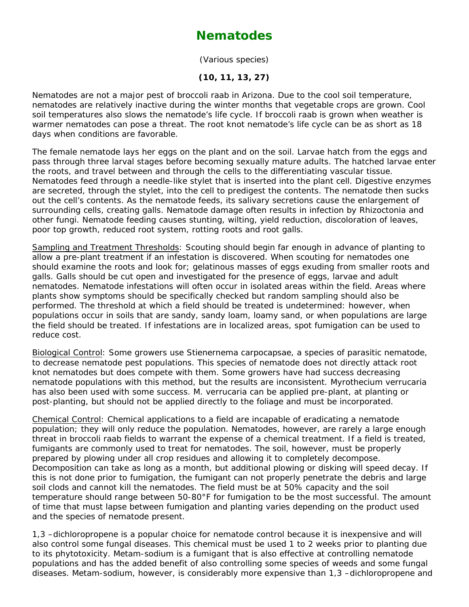### **Nematodes**

(Various species)

#### **(10, 11, 13, 27)**

Nematodes are not a major pest of broccoli raab in Arizona. Due to the cool soil temperature, nematodes are relatively inactive during the winter months that vegetable crops are grown. Cool soil temperatures also slows the nematode's life cycle. If broccoli raab is grown when weather is warmer nematodes can pose a threat. The root knot nematode's life cycle can be as short as 18 days when conditions are favorable.

The female nematode lays her eggs on the plant and on the soil. Larvae hatch from the eggs and pass through three larval stages before becoming sexually mature adults. The hatched larvae enter the roots, and travel between and through the cells to the differentiating vascular tissue. Nematodes feed through a needle-like stylet that is inserted into the plant cell. Digestive enzymes are secreted, through the stylet, into the cell to predigest the contents. The nematode then sucks out the cell's contents. As the nematode feeds, its salivary secretions cause the enlargement of surrounding cells, creating galls. Nematode damage often results in infection by *Rhizoctonia* and other fungi. Nematode feeding causes stunting, wilting, yield reduction, discoloration of leaves, poor top growth, reduced root system, rotting roots and root galls.

Sampling and Treatment Thresholds: Scouting should begin far enough in advance of planting to allow a pre-plant treatment if an infestation is discovered. When scouting for nematodes one should examine the roots and look for; gelatinous masses of eggs exuding from smaller roots and galls. Galls should be cut open and investigated for the presence of eggs, larvae and adult nematodes. Nematode infestations will often occur in isolated areas within the field. Areas where plants show symptoms should be specifically checked but random sampling should also be performed. The threshold at which a field should be treated is undetermined: however, when populations occur in soils that are sandy, sandy loam, loamy sand, or when populations are large the field should be treated. If infestations are in localized areas, spot fumigation can be used to reduce cost.

Biological Control: Some growers use *Stienernema carpocapsae*, a species of parasitic nematode, to decrease nematode pest populations. This species of nematode does not directly attack root knot nematodes but does compete with them. Some growers have had success decreasing nematode populations with this method, but the results are inconsistent. *Myrothecium verrucaria* has also been used with some success. *M. verrucaria* can be applied pre-plant, at planting or post-planting, but should not be applied directly to the foliage and must be incorporated.

Chemical Control: Chemical applications to a field are incapable of eradicating a nematode population; they will only reduce the population. Nematodes, however, are rarely a large enough threat in broccoli raab fields to warrant the expense of a chemical treatment. If a field is treated, fumigants are commonly used to treat for nematodes. The soil, however, must be properly prepared by plowing under all crop residues and allowing it to completely decompose. Decomposition can take as long as a month, but additional plowing or disking will speed decay. If this is not done prior to fumigation, the fumigant can not properly penetrate the debris and large soil clods and cannot kill the nematodes. The field must be at 50% capacity and the soil temperature should range between 50-80°F for fumigation to be the most successful. The amount of time that must lapse between fumigation and planting varies depending on the product used and the species of nematode present.

1,3 –dichloropropene is a popular choice for nematode control because it is inexpensive and will also control some fungal diseases. This chemical must be used 1 to 2 weeks prior to planting due to its phytotoxicity. Metam-sodium is a fumigant that is also effective at controlling nematode populations and has the added benefit of also controlling some species of weeds and some fungal diseases. Metam-sodium, however, is considerably more expensive than 1,3 –dichloropropene and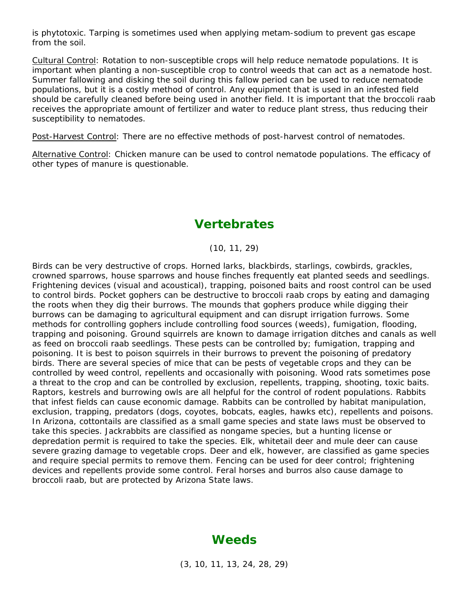is phytotoxic. Tarping is sometimes used when applying metam-sodium to prevent gas escape from the soil.

Cultural Control: Rotation to non-susceptible crops will help reduce nematode populations. It is important when planting a non-susceptible crop to control weeds that can act as a nematode host. Summer fallowing and disking the soil during this fallow period can be used to reduce nematode populations, but it is a costly method of control. Any equipment that is used in an infested field should be carefully cleaned before being used in another field. It is important that the broccoli raab receives the appropriate amount of fertilizer and water to reduce plant stress, thus reducing their susceptibility to nematodes.

Post-Harvest Control: There are no effective methods of post-harvest control of nematodes.

Alternative Control: Chicken manure can be used to control nematode populations. The efficacy of other types of manure is questionable.

### **Vertebrates**

(10, 11, 29)

Birds can be very destructive of crops. Horned larks, blackbirds, starlings, cowbirds, grackles, crowned sparrows, house sparrows and house finches frequently eat planted seeds and seedlings. Frightening devices (visual and acoustical), trapping, poisoned baits and roost control can be used to control birds. Pocket gophers can be destructive to broccoli raab crops by eating and damaging the roots when they dig their burrows. The mounds that gophers produce while digging their burrows can be damaging to agricultural equipment and can disrupt irrigation furrows. Some methods for controlling gophers include controlling food sources (weeds), fumigation, flooding, trapping and poisoning. Ground squirrels are known to damage irrigation ditches and canals as well as feed on broccoli raab seedlings. These pests can be controlled by; fumigation, trapping and poisoning. It is best to poison squirrels in their burrows to prevent the poisoning of predatory birds. There are several species of mice that can be pests of vegetable crops and they can be controlled by weed control, repellents and occasionally with poisoning. Wood rats sometimes pose a threat to the crop and can be controlled by exclusion, repellents, trapping, shooting, toxic baits. Raptors, kestrels and burrowing owls are all helpful for the control of rodent populations. Rabbits that infest fields can cause economic damage. Rabbits can be controlled by habitat manipulation, exclusion, trapping, predators (dogs, coyotes, bobcats, eagles, hawks etc), repellents and poisons. In Arizona, cottontails are classified as a small game species and state laws must be observed to take this species. Jackrabbits are classified as nongame species, but a hunting license or depredation permit is required to take the species. Elk, whitetail deer and mule deer can cause severe grazing damage to vegetable crops. Deer and elk, however, are classified as game species and require special permits to remove them. Fencing can be used for deer control; frightening devices and repellents provide some control. Feral horses and burros also cause damage to broccoli raab, but are protected by Arizona State laws.

### **Weeds**

(3, 10, 11, 13, 24, 28, 29)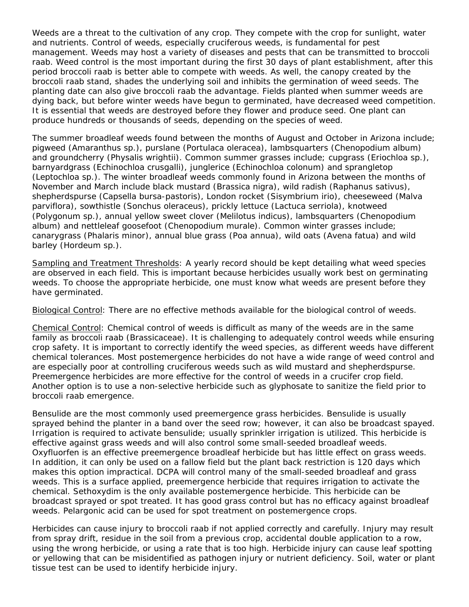Weeds are a threat to the cultivation of any crop. They compete with the crop for sunlight, water and nutrients. Control of weeds, especially cruciferous weeds, is fundamental for pest management. Weeds may host a variety of diseases and pests that can be transmitted to broccoli raab. Weed control is the most important during the first 30 days of plant establishment, after this period broccoli raab is better able to compete with weeds. As well, the canopy created by the broccoli raab stand, shades the underlying soil and inhibits the germination of weed seeds. The planting date can also give broccoli raab the advantage. Fields planted when summer weeds are dying back, but before winter weeds have begun to germinated, have decreased weed competition. It is essential that weeds are destroyed before they flower and produce seed. One plant can produce hundreds or thousands of seeds, depending on the species of weed.

The summer broadleaf weeds found between the months of August and October in Arizona include; pigweed (*Amaranthus* sp.), purslane (*Portulaca oleracea*), lambsquarters (*Chenopodium album*) and groundcherry (*Physalis wrightii*). Common summer grasses include; cupgrass (Eriochloa sp.), barnyardgrass (*Echinochloa crusgalli*), junglerice (*Echinochloa colonum*) and sprangletop (*Leptochloa* sp.). The winter broadleaf weeds commonly found in Arizona between the months of November and March include black mustard (*Brassica nigra*), wild *radish (Raphanus sativus*), shepherdspurse *(Capsella bursa-pastoris*), London rocket (*Sisymbrium i*rio), cheeseweed (*Malva parviflora*), sowthistle (*Sonchus oleraceus*), prickly lettuce (*Lactuca serriola*), knotweed (*Polygonum* sp.), annual yellow sweet clover (*Melilotus indicus)*, lambsquarters (*Chenopodium album*) and nettleleaf goosefoot (*Chenopodium murale*). Common winter grasses include; canarygrass (*Phalaris minor*), annual blue grass (*Poa annua*), wild oats (*Avena fatua*) and wild barley (*Hordeum* sp.).

Sampling and Treatment Thresholds: A yearly record should be kept detailing what weed species are observed in each field. This is important because herbicides usually work best on germinating weeds. To choose the appropriate herbicide, one must know what weeds are present before they have germinated.

Biological Control: There are no effective methods available for the biological control of weeds.

Chemical Control: Chemical control of weeds is difficult as many of the weeds are in the same family as broccoli raab (Brassicaceae). It is challenging to adequately control weeds while ensuring crop safety. It is important to correctly identify the weed species, as different weeds have different chemical tolerances. Most postemergence herbicides do not have a wide range of weed control and are especially poor at controlling cruciferous weeds such as wild mustard and shepherdspurse. Preemergence herbicides are more effective for the control of weeds in a crucifer crop field. Another option is to use a non-selective herbicide such as glyphosate to sanitize the field prior to broccoli raab emergence.

Bensulide are the most commonly used preemergence grass herbicides. Bensulide is usually sprayed behind the planter in a band over the seed row; however, it can also be broadcast spayed. Irrigation is required to activate bensulide; usually sprinkler irrigation is utilized. This herbicide is effective against grass weeds and will also control some small-seeded broadleaf weeds. Oxyfluorfen is an effective preemergence broadleaf herbicide but has little effect on grass weeds. In addition, it can only be used on a fallow field but the plant back restriction is 120 days which makes this option impractical. DCPA will control many of the small-seeded broadleaf and grass weeds. This is a surface applied, preemergence herbicide that requires irrigation to activate the chemical. Sethoxydim is the only available postemergence herbicide. This herbicide can be broadcast sprayed or spot treated. It has good grass control but has no efficacy against broadleaf weeds. Pelargonic acid can be used for spot treatment on postemergence crops.

Herbicides can cause injury to broccoli raab if not applied correctly and carefully. Injury may result from spray drift, residue in the soil from a previous crop, accidental double application to a row, using the wrong herbicide, or using a rate that is too high. Herbicide injury can cause leaf spotting or yellowing that can be misidentified as pathogen injury or nutrient deficiency. Soil, water or plant tissue test can be used to identify herbicide injury.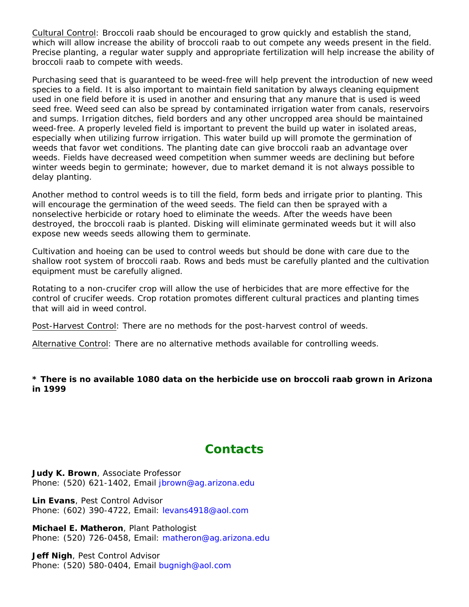Cultural Control: Broccoli raab should be encouraged to grow quickly and establish the stand, which will allow increase the ability of broccoli raab to out compete any weeds present in the field. Precise planting, a regular water supply and appropriate fertilization will help increase the ability of broccoli raab to compete with weeds.

Purchasing seed that is guaranteed to be weed-free will help prevent the introduction of new weed species to a field. It is also important to maintain field sanitation by always cleaning equipment used in one field before it is used in another and ensuring that any manure that is used is weed seed free. Weed seed can also be spread by contaminated irrigation water from canals, reservoirs and sumps. Irrigation ditches, field borders and any other uncropped area should be maintained weed-free. A properly leveled field is important to prevent the build up water in isolated areas, especially when utilizing furrow irrigation. This water build up will promote the germination of weeds that favor wet conditions. The planting date can give broccoli raab an advantage over weeds. Fields have decreased weed competition when summer weeds are declining but before winter weeds begin to germinate; however, due to market demand it is not always possible to delay planting.

Another method to control weeds is to till the field, form beds and irrigate prior to planting. This will encourage the germination of the weed seeds. The field can then be sprayed with a nonselective herbicide or rotary hoed to eliminate the weeds. After the weeds have been destroyed, the broccoli raab is planted. Disking will eliminate germinated weeds but it will also expose new weeds seeds allowing them to germinate.

Cultivation and hoeing can be used to control weeds but should be done with care due to the shallow root system of broccoli raab. Rows and beds must be carefully planted and the cultivation equipment must be carefully aligned.

Rotating to a non-crucifer crop will allow the use of herbicides that are more effective for the control of crucifer weeds. Crop rotation promotes different cultural practices and planting times that will aid in weed control.

Post-Harvest Control: There are no methods for the post-harvest control of weeds.

Alternative Control: There are no alternative methods available for controlling weeds.

#### **\* There is no available 1080 data on the herbicide use on broccoli raab grown in Arizona in 1999**

# **Contacts**

**Judy K. Brown**, Associate Professor Phone: (520) 621-1402, Email jbrown@ag.arizona.edu

**Lin Evans**, Pest Control Advisor Phone: (602) 390-4722, Email: levans4918@aol.com

**Michael E. Matheron**, Plant Pathologist Phone: (520) 726-0458, Email: matheron@ag.arizona.edu

**Jeff Nigh**, Pest Control Advisor Phone: (520) 580-0404, Email bugnigh@aol.com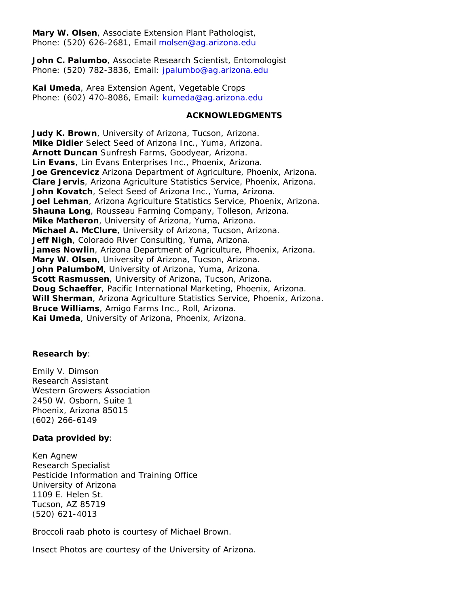**Mary W. Olsen**, Associate Extension Plant Pathologist, Phone: (520) 626-2681, Email molsen@ag.arizona.edu

**John C. Palumbo**, Associate Research Scientist, Entomologist Phone: (520) 782-3836, Email: jpalumbo@ag.arizona.edu

**Kai Umeda**, Area Extension Agent, Vegetable Crops Phone: (602) 470-8086, Email: kumeda@ag.arizona.edu

#### **ACKNOWLEDGMENTS**

**Judy K. Brown**, University of Arizona, Tucson, Arizona. **Mike Didier** Select Seed of Arizona Inc., Yuma, Arizona. **Arnott Duncan** Sunfresh Farms, Goodyear, Arizona. **Lin Evans**, Lin Evans Enterprises Inc., Phoenix, Arizona. **Joe Grencevicz** Arizona Department of Agriculture, Phoenix, Arizona. **Clare Jervis**, Arizona Agriculture Statistics Service, Phoenix, Arizona. **John Kovatch**, Select Seed of Arizona Inc., Yuma, Arizona. **Joel Lehman**, Arizona Agriculture Statistics Service, Phoenix, Arizona. **Shauna Long**, Rousseau Farming Company, Tolleson, Arizona. **Mike Matheron**, University of Arizona, Yuma, Arizona. **Michael A. McClure**, University of Arizona, Tucson, Arizona. **Jeff Nigh**, Colorado River Consulting, Yuma, Arizona. **James Nowlin**, Arizona Department of Agriculture, Phoenix, Arizona. **Mary W. Olsen**, University of Arizona, Tucson, Arizona. **John PalumboM**, University of Arizona, Yuma, Arizona. **Scott Rasmussen**, University of Arizona, Tucson, Arizona. **Doug Schaeffer**, Pacific International Marketing, Phoenix, Arizona. **Will Sherman**, Arizona Agriculture Statistics Service, Phoenix, Arizona. **Bruce Williams**, Amigo Farms Inc., Roll, Arizona. **Kai Umeda**, University of Arizona, Phoenix, Arizona.

#### **Research by**:

Emily V. Dimson Research Assistant Western Growers Association 2450 W. Osborn, Suite 1 Phoenix, Arizona 85015 (602) 266-6149

#### **Data provided by**:

Ken Agnew Research Specialist Pesticide Information and Training Office University of Arizona 1109 E. Helen St. Tucson, AZ 85719 (520) 621-4013

Broccoli raab photo is courtesy of Michael Brown.

Insect Photos are courtesy of the University of Arizona.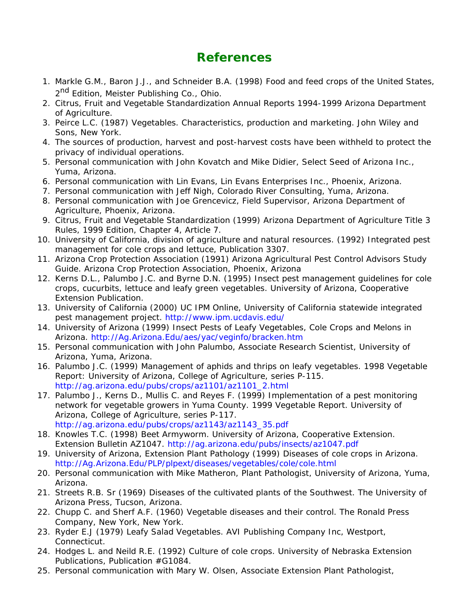# **References**

- Markle G.M., Baron J.J., and Schneider B.A. (1998) Food and feed crops of the United States, 1. 2<sup>nd</sup> Edition, Meister Publishing Co., Ohio.
- 2. Citrus, Fruit and Vegetable Standardization Annual Reports 1994-1999 Arizona Department of Agriculture.
- 3. Peirce L.C. (1987) Vegetables. Characteristics, production and marketing. John Wiley and Sons, New York.
- The sources of production, harvest and post-harvest costs have been withheld to protect the 4. privacy of individual operations.
- 5. Personal communication with John Kovatch and Mike Didier, Select Seed of Arizona Inc., Yuma, Arizona.
- 6. Personal communication with Lin Evans, Lin Evans Enterprises Inc., Phoenix, Arizona.
- 7. Personal communication with Jeff Nigh, Colorado River Consulting, Yuma, Arizona.
- 8. Personal communication with Joe Grencevicz, Field Supervisor, Arizona Department of Agriculture, Phoenix, Arizona.
- Citrus, Fruit and Vegetable Standardization (1999) Arizona Department of Agriculture Title 3 9. Rules, 1999 Edition, Chapter 4, Article 7.
- 10. University of California, division of agriculture and natural resources. (1992) Integrated pest management for cole crops and lettuce, Publication 3307.
- 11. Arizona Crop Protection Association (1991) Arizona Agricultural Pest Control Advisors Study Guide. Arizona Crop Protection Association, Phoenix, Arizona
- 12. Kerns D.L., Palumbo J.C. and Byrne D.N. (1995) Insect pest management guidelines for cole crops, cucurbits, lettuce and leafy green vegetables. University of Arizona, Cooperative Extension Publication.
- 13. University of California (2000) UC IPM Online, University of California statewide integrated pest management project. http://www.ipm.ucdavis.edu/
- 14. University of Arizona (1999) Insect Pests of Leafy Vegetables, Cole Crops and Melons in Arizona. http://Ag.Arizona.Edu/aes/yac/veginfo/bracken.htm
- 15. Personal communication with John Palumbo, Associate Research Scientist, University of Arizona, Yuma, Arizona.
- 16. Palumbo J.C. (1999) Management of aphids and thrips on leafy vegetables. 1998 Vegetable Report: University of Arizona, College of Agriculture, series P-115. http://ag.arizona.edu/pubs/crops/az1101/az1101\_2.html
- 17. Palumbo J., Kerns D., Mullis C. and Reyes F. (1999) Implementation of a pest monitoring network for vegetable growers in Yuma County. 1999 Vegetable Report. University of Arizona, College of Agriculture, series P-117. http://ag.arizona.edu/pubs/crops/az1143/az1143\_35.pdf
- 18. Knowles T.C. (1998) Beet Armyworm. University of Arizona, Cooperative Extension. Extension Bulletin AZ1047. http://ag.arizona.edu/pubs/insects/az1047.pdf
- 19. University of Arizona, Extension Plant Pathology (1999) Diseases of cole crops in Arizona. http://Ag.Arizona.Edu/PLP/plpext/diseases/vegetables/cole/cole.html
- 20. Personal communication with Mike Matheron, Plant Pathologist, University of Arizona, Yuma, Arizona.
- 21. Streets R.B. Sr (1969) Diseases of the cultivated plants of the Southwest. The University of Arizona Press, Tucson, Arizona.
- 22. Chupp C. and Sherf A.F. (1960) Vegetable diseases and their control. The Ronald Press Company, New York, New York.
- 23. Ryder E.J (1979) Leafy Salad Vegetables. AVI Publishing Company Inc, Westport, Connecticut.
- 24. Hodges L. and Neild R.E. (1992) Culture of cole crops. University of Nebraska Extension Publications, Publication #G1084.
- 25. Personal communication with Mary W. Olsen, Associate Extension Plant Pathologist,